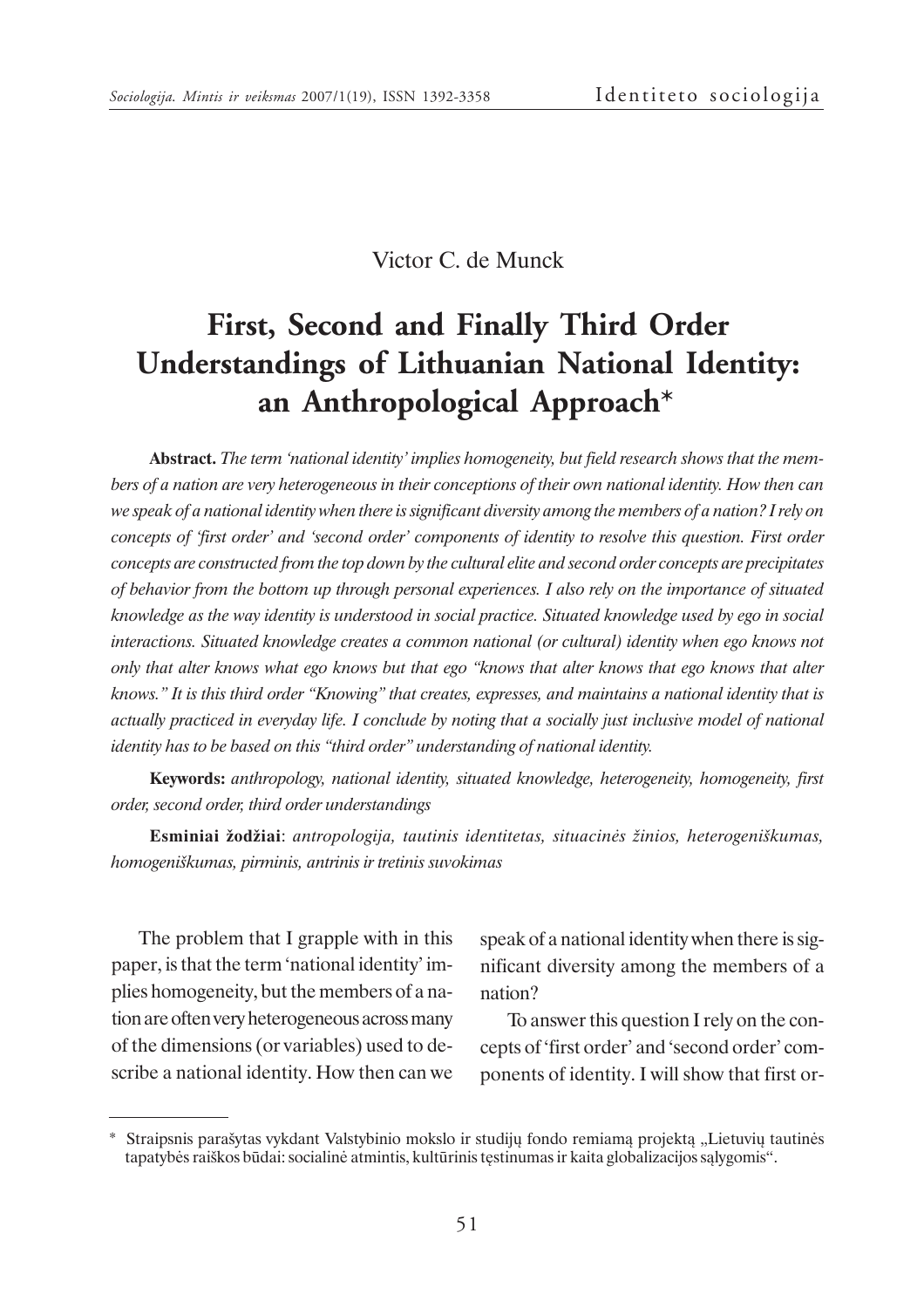## Victor C. de Munck

# **First, Second and Finally Third Order Understandings of Lithuanian National Identity: an Anthropological Approach\***

**Abstract.** *The term 'national identity' implies homogeneity, but field research shows that the members of a nation are very heterogeneous in their conceptions of their own national identity. How then can we speak of a national identity when there is significant diversity among the members of a nation? I rely on concepts of 'first order' and 'second order' components of identity to resolve this question. First order concepts are constructed from the top down by the cultural elite and second order concepts are precipitates of behavior from the bottom up through personal experiences. I also rely on the importance of situated knowledge as the way identity is understood in social practice. Situated knowledge used by ego in social interactions. Situated knowledge creates a common national (or cultural) identity when ego knows not only that alter knows what ego knows but that ego "knows that alter knows that ego knows that alter knows." It is this third order "Knowing" that creates, expresses, and maintains a national identity that is actually practiced in everyday life. I conclude by noting that a socially just inclusive model of national identity has to be based on this "third order" understanding of national identity.*

**Keywords:** *anthropology, national identity, situated knowledge, heterogeneity, homogeneity, first order, second order, third order understandings*

**Esminiai þodþiai**: *antropologija, tautinis identitetas, situacinës þinios, heterogeniðkumas, homogeniðkumas, pirminis, antrinis ir tretinis suvokimas*

The problem that I grapple with in this paper, is that the term 'national identity' implies homogeneity, but the members of a nation are often very heterogeneous across many of the dimensions (or variables) used to describe a national identity. How then can we speak of a national identity when there is significant diversity among the members of a nation?

To answer this question I rely on the concepts of 'first order' and 'second order' components of identity. I will show that first or-

<sup>\*</sup> Straipsnis paraðytas vykdant Valstybinio mokslo ir studijø fondo remiamà projektà "Lietuviø tautinës tapatybës raiðkos bûdai: socialinë atmintis, kultûrinis tæstinumas ir kaita globalizacijos sàlygomis".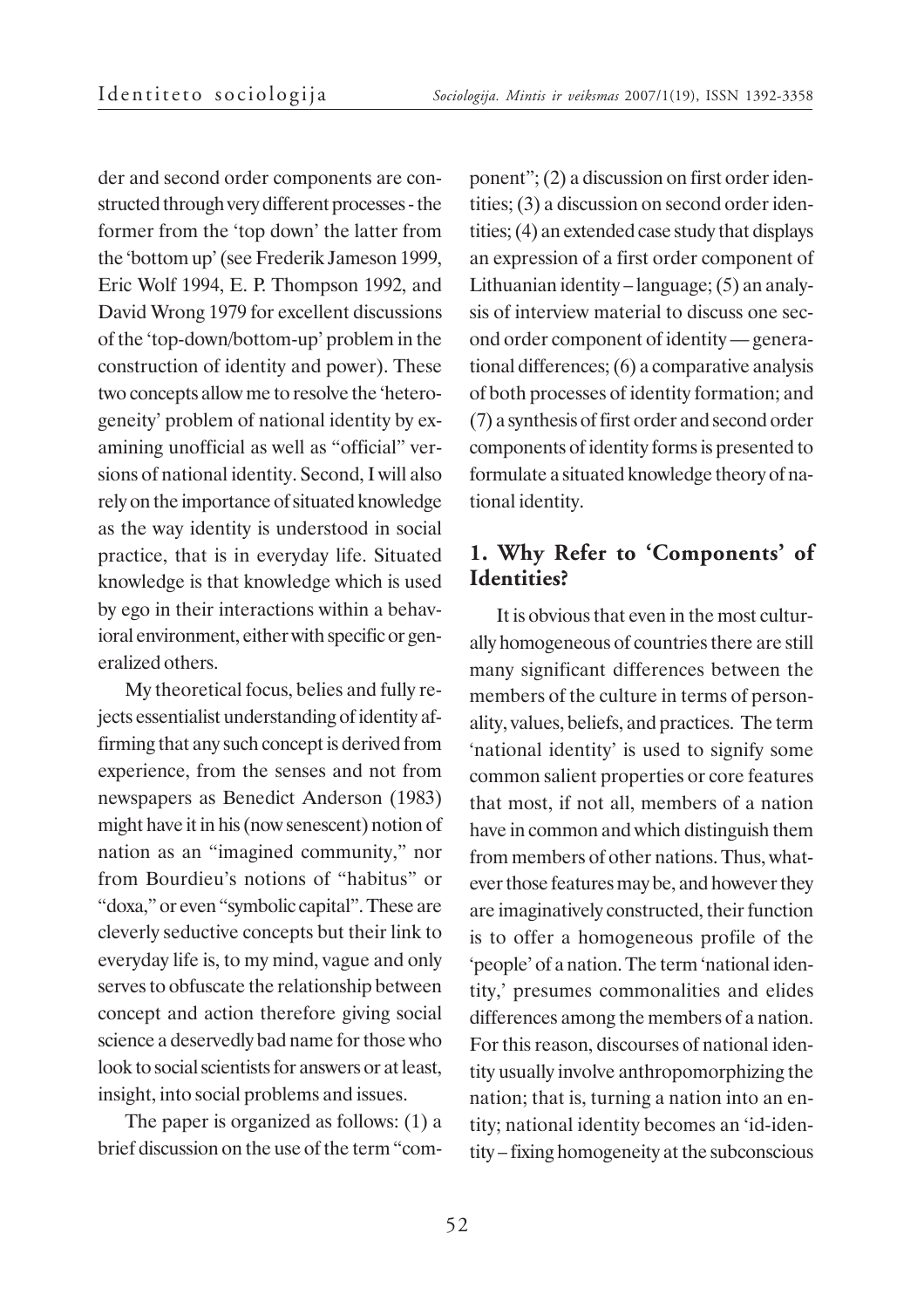der and second order components are constructed through very different processes - the former from the 'top down' the latter from the 'bottom up' (see Frederik Jameson 1999, Eric Wolf 1994, E. P. Thompson 1992, and David Wrong 1979 for excellent discussions of the 'top-down/bottom-up' problem in the construction of identity and power). These two concepts allow me to resolve the 'heterogeneity' problem of national identity by examining unofficial as well as "official" versions of national identity. Second, I will also rely on the importance of situated knowledge as the way identity is understood in social practice, that is in everyday life. Situated knowledge is that knowledge which is used by ego in their interactions within a behavioral environment, either with specific or generalized others.

My theoretical focus, belies and fully rejects essentialist understanding of identity affirming that any such concept is derived from experience, from the senses and not from newspapers as Benedict Anderson (1983) might have it in his (now senescent) notion of nation as an "imagined community," nor from Bourdieu's notions of "habitus" or "doxa," or even "symbolic capital". These are cleverly seductive concepts but their link to everyday life is, to my mind, vague and only serves to obfuscate the relationship between concept and action therefore giving social science a deservedly bad name for those who look to social scientists for answers or at least, insight, into social problems and issues.

The paper is organized as follows: (1) a brief discussion on the use of the term "component"; (2) a discussion on first order identities; (3) a discussion on second order identities; (4) an extended case study that displays an expression of a first order component of Lithuanian identity – language; (5) an analysis of interview material to discuss one second order component of identity — generational differences; (6) a comparative analysis of both processes of identity formation; and (7) a synthesis of first order and second order components of identity forms is presented to formulate a situated knowledge theory of national identity.

### **1. Why Refer to 'Components' of Identities?**

It is obvious that even in the most culturally homogeneous of countries there are still many significant differences between the members of the culture in terms of personality, values, beliefs, and practices. The term 'national identity' is used to signify some common salient properties or core features that most, if not all, members of a nation have in common and which distinguish them from members of other nations. Thus, whatever those features may be, and however they are imaginatively constructed, their function is to offer a homogeneous profile of the 'people' of a nation. The term 'national identity,' presumes commonalities and elides differences among the members of a nation. For this reason, discourses of national identity usually involve anthropomorphizing the nation; that is, turning a nation into an entity; national identity becomes an 'id-identity – fixing homogeneity at the subconscious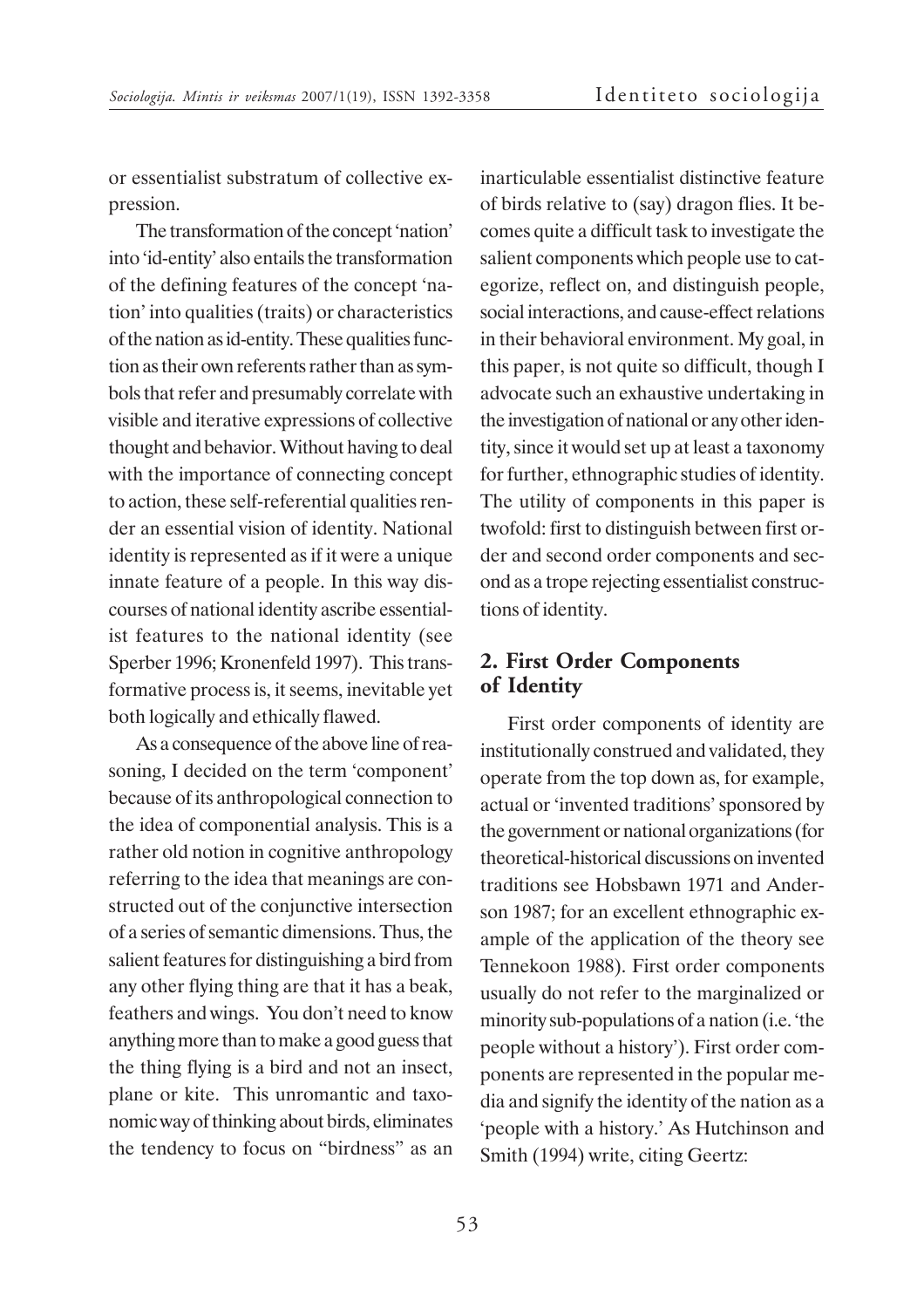or essentialist substratum of collective expression.

The transformation of the concept 'nation' into 'id-entity' also entails the transformation of the defining features of the concept 'nation' into qualities (traits) or characteristics of the nation as id-entity. These qualities function as their own referents rather than as symbols that refer and presumably correlate with visible and iterative expressions of collective thought and behavior. Without having to deal with the importance of connecting concept to action, these self-referential qualities render an essential vision of identity. National identity is represented as if it were a unique innate feature of a people. In this way discourses of national identity ascribe essentialist features to the national identity (see Sperber 1996; Kronenfeld 1997). This transformative process is, it seems, inevitable yet both logically and ethically flawed.

As a consequence of the above line of reasoning, I decided on the term 'component' because of its anthropological connection to the idea of componential analysis. This is a rather old notion in cognitive anthropology referring to the idea that meanings are constructed out of the conjunctive intersection of a series of semantic dimensions. Thus, the salient features for distinguishing a bird from any other flying thing are that it has a beak, feathers and wings. You don't need to know anything more than to make a good guess that the thing flying is a bird and not an insect, plane or kite. This unromantic and taxonomic way of thinking about birds, eliminates the tendency to focus on "birdness" as an inarticulable essentialist distinctive feature of birds relative to (say) dragon flies. It becomes quite a difficult task to investigate the salient components which people use to categorize, reflect on, and distinguish people, social interactions, and cause-effect relations in their behavioral environment. My goal, in this paper, is not quite so difficult, though I advocate such an exhaustive undertaking in the investigation of national or any other identity, since it would set up at least a taxonomy for further, ethnographic studies of identity. The utility of components in this paper is twofold: first to distinguish between first order and second order components and second as a trope rejecting essentialist constructions of identity.

#### **2. First Order Components of Identity**

First order components of identity are institutionally construed and validated, they operate from the top down as, for example, actual or 'invented traditions' sponsored by the government or national organizations (for theoretical-historical discussions on invented traditions see Hobsbawn 1971 and Anderson 1987; for an excellent ethnographic example of the application of the theory see Tennekoon 1988). First order components usually do not refer to the marginalized or minority sub-populations of a nation (i.e. 'the people without a history'). First order components are represented in the popular media and signify the identity of the nation as a 'people with a history.' As Hutchinson and Smith (1994) write, citing Geertz: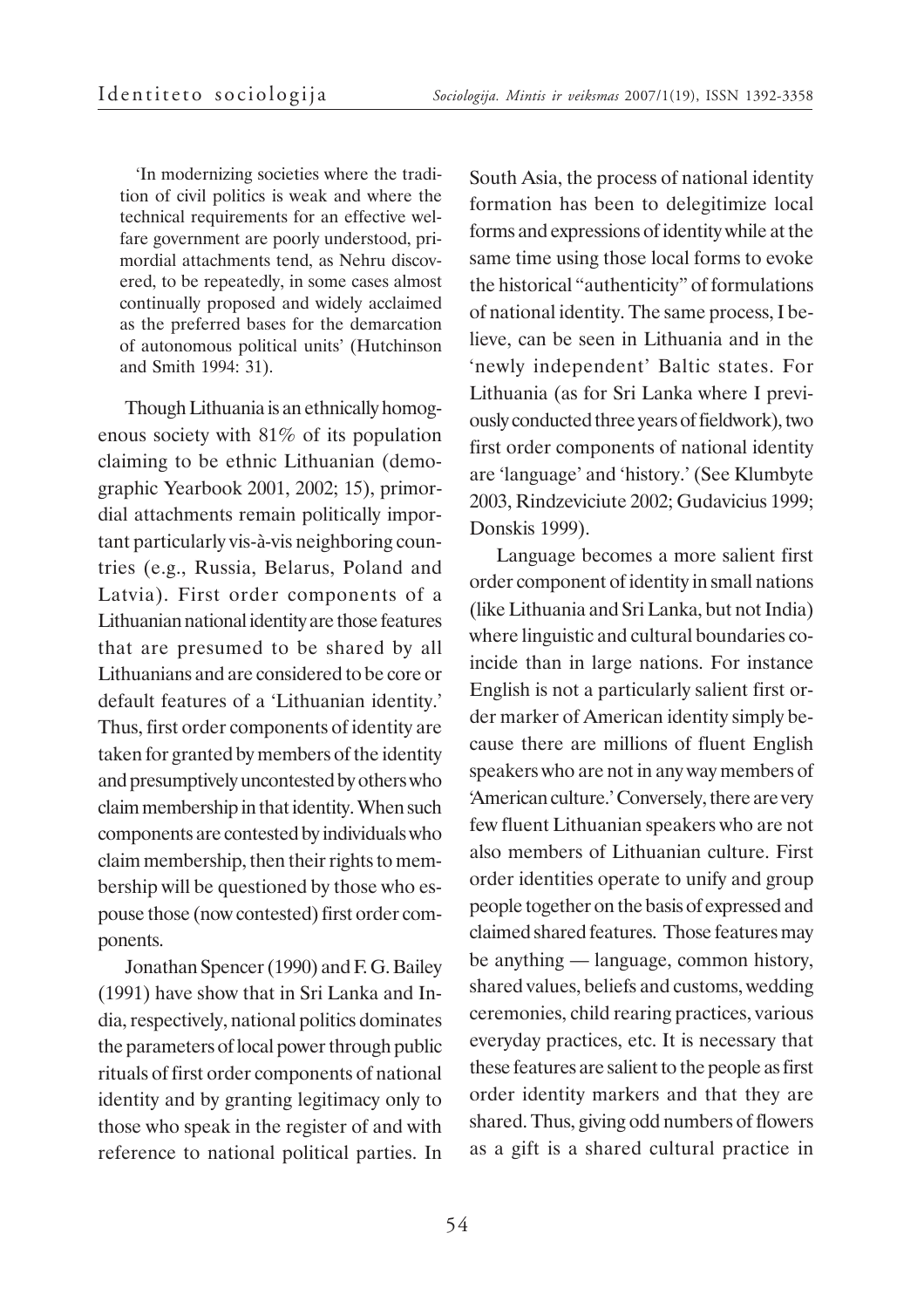'In modernizing societies where the tradition of civil politics is weak and where the technical requirements for an effective welfare government are poorly understood, primordial attachments tend, as Nehru discovered, to be repeatedly, in some cases almost continually proposed and widely acclaimed as the preferred bases for the demarcation of autonomous political units' (Hutchinson and Smith 1994: 31).

Though Lithuania is an ethnically homogenous society with 81% of its population claiming to be ethnic Lithuanian (demographic Yearbook 2001, 2002; 15), primordial attachments remain politically important particularly vis-à-vis neighboring countries (e.g., Russia, Belarus, Poland and Latvia). First order components of a Lithuanian national identity are those features that are presumed to be shared by all Lithuanians and are considered to be core or default features of a 'Lithuanian identity.' Thus, first order components of identity are taken for granted by members of the identity and presumptively uncontested by others who claim membership in that identity. When such components are contested by individuals who claim membership, then their rights to membership will be questioned by those who espouse those (now contested) first order components.

Jonathan Spencer (1990) and F. G. Bailey (1991) have show that in Sri Lanka and India, respectively, national politics dominates the parameters of local power through public rituals of first order components of national identity and by granting legitimacy only to those who speak in the register of and with reference to national political parties. In

South Asia, the process of national identity formation has been to delegitimize local forms and expressions of identity while at the same time using those local forms to evoke the historical "authenticity" of formulations of national identity. The same process, I believe, can be seen in Lithuania and in the 'newly independent' Baltic states. For Lithuania (as for Sri Lanka where I previously conducted three years of fieldwork), two first order components of national identity are 'language' and 'history.' (See Klumbyte 2003, Rindzeviciute 2002; Gudavicius 1999; Donskis 1999).

Language becomes a more salient first order component of identity in small nations (like Lithuania and Sri Lanka, but not India) where linguistic and cultural boundaries coincide than in large nations. For instance English is not a particularly salient first order marker of American identity simply because there are millions of fluent English speakers who are not in any way members of 'American culture.' Conversely, there are very few fluent Lithuanian speakers who are not also members of Lithuanian culture. First order identities operate to unify and group people together on the basis of expressed and claimed shared features. Those features may be anything — language, common history, shared values, beliefs and customs, wedding ceremonies, child rearing practices, various everyday practices, etc. It is necessary that these features are salient to the people as first order identity markers and that they are shared. Thus, giving odd numbers of flowers as a gift is a shared cultural practice in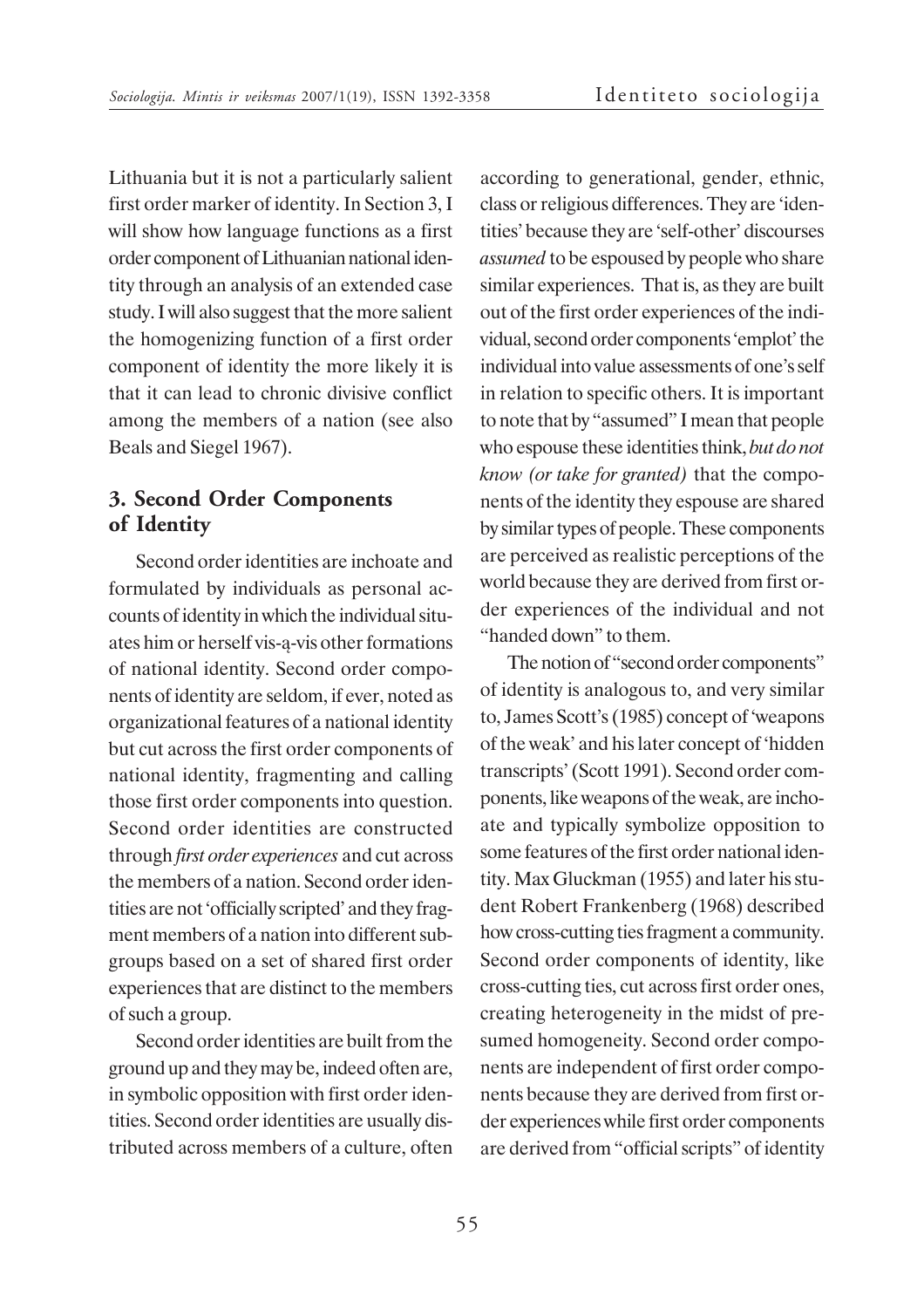Lithuania but it is not a particularly salient first order marker of identity. In Section 3, I will show how language functions as a first order component of Lithuanian national identity through an analysis of an extended case study. I will also suggest that the more salient the homogenizing function of a first order component of identity the more likely it is that it can lead to chronic divisive conflict among the members of a nation (see also Beals and Siegel 1967).

## **3. Second Order Components of Identity**

Second order identities are inchoate and formulated by individuals as personal accounts of identity in which the individual situates him or herself vis-à-vis other formations of national identity. Second order components of identity are seldom, if ever, noted as organizational features of a national identity but cut across the first order components of national identity, fragmenting and calling those first order components into question. Second order identities are constructed through *first order experiences* and cut across the members of a nation. Second order identities are not 'officially scripted' and they fragment members of a nation into different subgroups based on a set of shared first order experiences that are distinct to the members of such a group.

Second order identities are built from the ground up and they may be, indeed often are, in symbolic opposition with first order identities. Second order identities are usually distributed across members of a culture, often

according to generational, gender, ethnic, class or religious differences. They are 'identities' because they are 'self-other' discourses *assumed* to be espoused by people who share similar experiences. That is, as they are built out of the first order experiences of the individual, second order components 'emplot' the individual into value assessments of one's self in relation to specific others. It is important to note that by "assumed" I mean that people who espouse these identities think, *but do not know (or take for granted)* that the components of the identity they espouse are shared by similar types of people. These components are perceived as realistic perceptions of the world because they are derived from first order experiences of the individual and not "handed down" to them.

The notion of "second order components" of identity is analogous to, and very similar to, James Scott's (1985) concept of 'weapons of the weak' and his later concept of 'hidden transcripts' (Scott 1991). Second order components, like weapons of the weak, are inchoate and typically symbolize opposition to some features of the first order national identity. Max Gluckman (1955) and later his student Robert Frankenberg (1968) described how cross-cutting ties fragment a community. Second order components of identity, like cross-cutting ties, cut across first order ones, creating heterogeneity in the midst of presumed homogeneity. Second order components are independent of first order components because they are derived from first order experiences while first order components are derived from "official scripts" of identity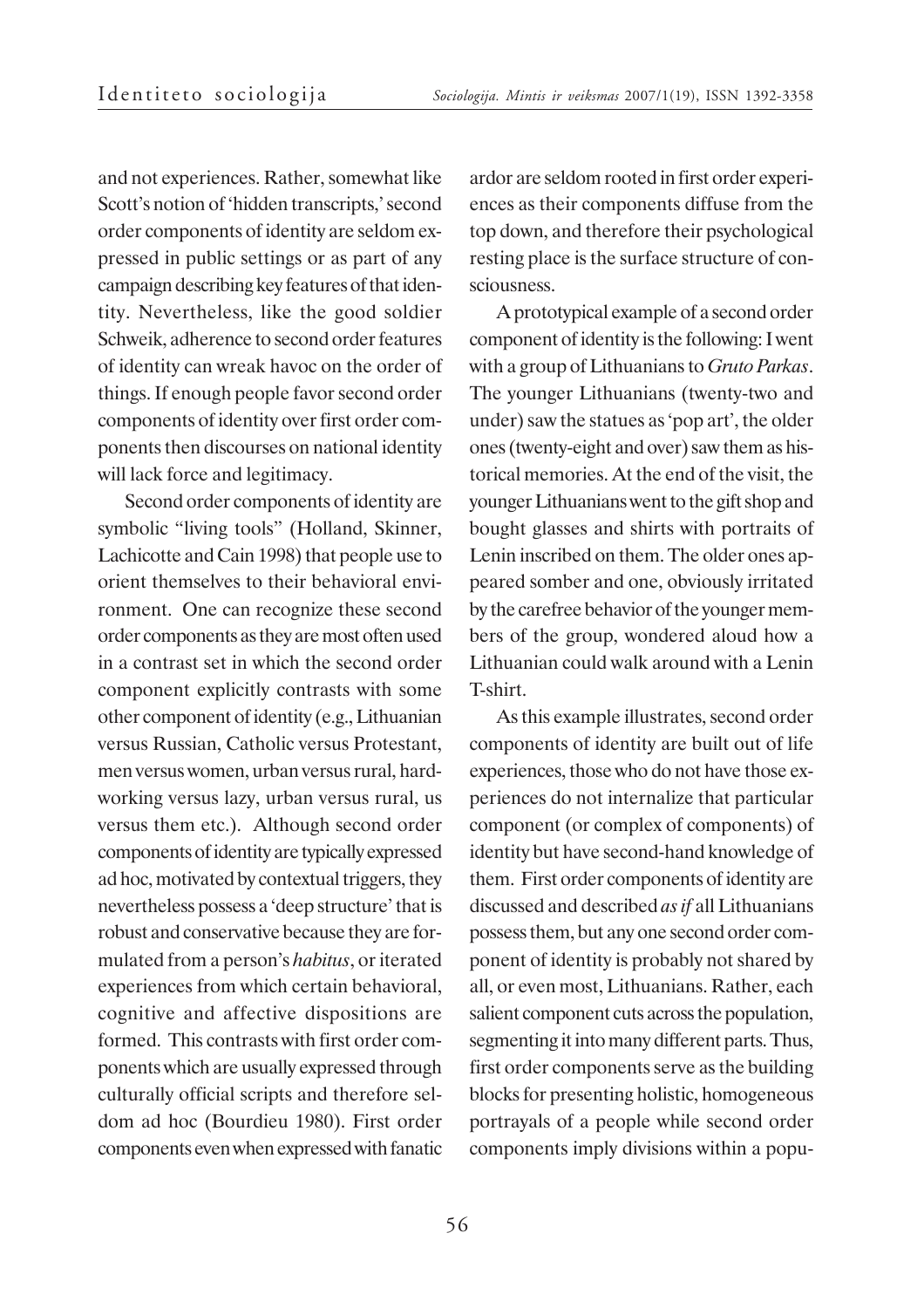and not experiences. Rather, somewhat like Scott's notion of 'hidden transcripts,' second order components of identity are seldom expressed in public settings or as part of any campaign describing key features of that identity. Nevertheless, like the good soldier Schweik, adherence to second order features of identity can wreak havoc on the order of things. If enough people favor second order components of identity over first order components then discourses on national identity will lack force and legitimacy.

Second order components of identity are symbolic "living tools" (Holland, Skinner, Lachicotte and Cain 1998) that people use to orient themselves to their behavioral environment. One can recognize these second order components as they are most often used in a contrast set in which the second order component explicitly contrasts with some other component of identity (e.g., Lithuanian versus Russian, Catholic versus Protestant, men versus women, urban versus rural, hardworking versus lazy, urban versus rural, us versus them etc.). Although second order components of identity are typically expressed ad hoc, motivated by contextual triggers, they nevertheless possess a 'deep structure' that is robust and conservative because they are formulated from a person's *habitus*, or iterated experiences from which certain behavioral, cognitive and affective dispositions are formed. This contrasts with first order components which are usually expressed through culturally official scripts and therefore seldom ad hoc (Bourdieu 1980). First order components even when expressed with fanatic

ardor are seldom rooted in first order experiences as their components diffuse from the top down, and therefore their psychological resting place is the surface structure of consciousness.

A prototypical example of a second order component of identity is the following: I went with a group of Lithuanians to *Gruto Parkas*. The younger Lithuanians (twenty-two and under) saw the statues as 'pop art', the older ones (twenty-eight and over) saw them as historical memories. At the end of the visit, the younger Lithuanians went to the gift shop and bought glasses and shirts with portraits of Lenin inscribed on them. The older ones appeared somber and one, obviously irritated by the carefree behavior of the younger members of the group, wondered aloud how a Lithuanian could walk around with a Lenin T-shirt.

As this example illustrates, second order components of identity are built out of life experiences, those who do not have those experiences do not internalize that particular component (or complex of components) of identity but have second-hand knowledge of them. First order components of identity are discussed and described *as if* all Lithuanians possess them, but any one second order component of identity is probably not shared by all, or even most, Lithuanians. Rather, each salient component cuts across the population, segmenting it into many different parts. Thus, first order components serve as the building blocks for presenting holistic, homogeneous portrayals of a people while second order components imply divisions within a popu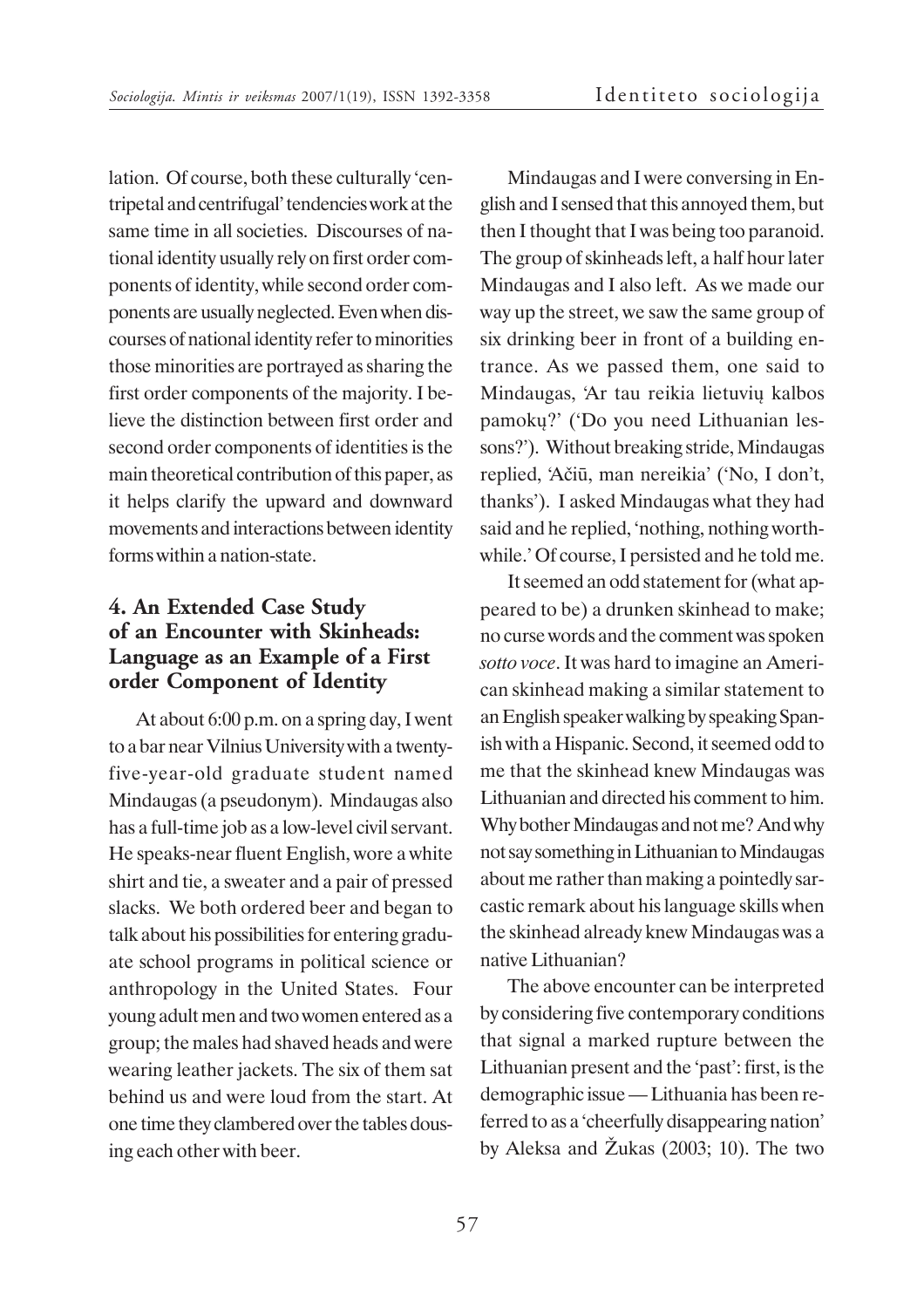lation. Of course, both these culturally 'centripetal and centrifugal' tendencies work at the same time in all societies. Discourses of national identity usually rely on first order components of identity, while second order components are usually neglected. Even when discourses of national identity refer to minorities those minorities are portrayed as sharing the first order components of the majority. I believe the distinction between first order and second order components of identities is the main theoretical contribution of this paper, as it helps clarify the upward and downward movements and interactions between identity forms within a nation-state.

# **4. An Extended Case Study of an Encounter with Skinheads: Language as an Example of a First order Component of Identity**

At about 6:00 p.m. on a spring day, I went to a bar near Vilnius University with a twentyfive-year-old graduate student named Mindaugas (a pseudonym). Mindaugas also has a full-time job as a low-level civil servant. He speaks-near fluent English, wore a white shirt and tie, a sweater and a pair of pressed slacks. We both ordered beer and began to talk about his possibilities for entering graduate school programs in political science or anthropology in the United States. Four young adult men and two women entered as a group; the males had shaved heads and were wearing leather jackets. The six of them sat behind us and were loud from the start. At one time they clambered over the tables dousing each other with beer.

Mindaugas and I were conversing in English and I sensed that this annoyed them, but then I thought that I was being too paranoid. The group of skinheads left, a half hour later Mindaugas and I also left. As we made our way up the street, we saw the same group of six drinking beer in front of a building entrance. As we passed them, one said to Mindaugas, 'Ar tau reikia lietuvių kalbos pamokų?' ('Do you need Lithuanian lessons?'). Without breaking stride, Mindaugas replied, 'Aèiû, man nereikia' ('No, I don't, thanks'). I asked Mindaugas what they had said and he replied, 'nothing, nothing worthwhile.' Of course, I persisted and he told me.

It seemed an odd statement for (what appeared to be) a drunken skinhead to make; no curse words and the comment was spoken *sotto voce*. It was hard to imagine an American skinhead making a similar statement to an English speaker walking by speaking Spanish with a Hispanic. Second, it seemed odd to me that the skinhead knew Mindaugas was Lithuanian and directed his comment to him. Why bother Mindaugas and not me? And why not say something in Lithuanian to Mindaugas about me rather than making a pointedly sarcastic remark about his language skills when the skinhead already knew Mindaugas was a native Lithuanian?

The above encounter can be interpreted by considering five contemporary conditions that signal a marked rupture between the Lithuanian present and the 'past': first, is the demographic issue — Lithuania has been referred to as a 'cheerfully disappearing nation' by Aleksa and  $\check{Z}$ ukas (2003; 10). The two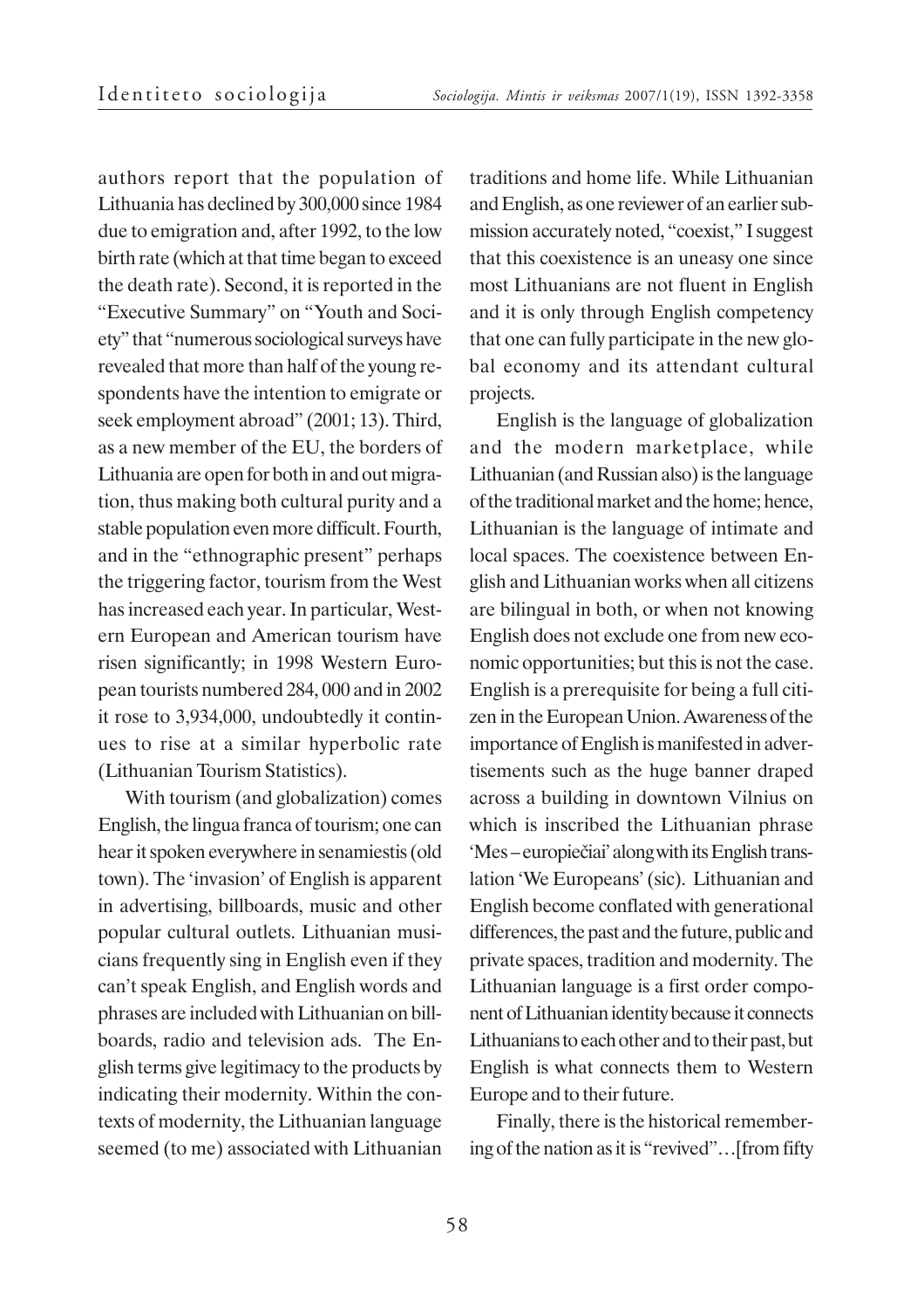authors report that the population of Lithuania has declined by 300,000 since 1984 due to emigration and, after 1992, to the low birth rate (which at that time began to exceed the death rate). Second, it is reported in the "Executive Summary" on "Youth and Society" that "numerous sociological surveys have revealed that more than half of the young respondents have the intention to emigrate or seek employment abroad" (2001; 13). Third, as a new member of the EU, the borders of Lithuania are open for both in and out migration, thus making both cultural purity and a stable population even more difficult. Fourth, and in the "ethnographic present" perhaps the triggering factor, tourism from the West has increased each year. In particular, Western European and American tourism have risen significantly; in 1998 Western European tourists numbered 284, 000 and in 2002 it rose to 3,934,000, undoubtedly it continues to rise at a similar hyperbolic rate (Lithuanian Tourism Statistics).

With tourism (and globalization) comes English, the lingua franca of tourism; one can hear it spoken everywhere in senamiestis (old town). The 'invasion' of English is apparent in advertising, billboards, music and other popular cultural outlets. Lithuanian musicians frequently sing in English even if they can't speak English, and English words and phrases are included with Lithuanian on billboards, radio and television ads. The English terms give legitimacy to the products by indicating their modernity. Within the contexts of modernity, the Lithuanian language seemed (to me) associated with Lithuanian

traditions and home life. While Lithuanian and English, as one reviewer of an earlier submission accurately noted, "coexist," I suggest that this coexistence is an uneasy one since most Lithuanians are not fluent in English and it is only through English competency that one can fully participate in the new global economy and its attendant cultural projects.

English is the language of globalization and the modern marketplace, while Lithuanian (and Russian also) is the language of the traditional market and the home; hence, Lithuanian is the language of intimate and local spaces. The coexistence between English and Lithuanian works when all citizens are bilingual in both, or when not knowing English does not exclude one from new economic opportunities; but this is not the case. English is a prerequisite for being a full citizen in the European Union. Awareness of the importance of English is manifested in advertisements such as the huge banner draped across a building in downtown Vilnius on which is inscribed the Lithuanian phrase 'Mes – europiečiai' along with its English translation 'We Europeans' (sic). Lithuanian and English become conflated with generational differences, the past and the future, public and private spaces, tradition and modernity. The Lithuanian language is a first order component of Lithuanian identity because it connects Lithuanians to each other and to their past, but English is what connects them to Western Europe and to their future.

Finally, there is the historical remembering of the nation as it is "revived"…[from fifty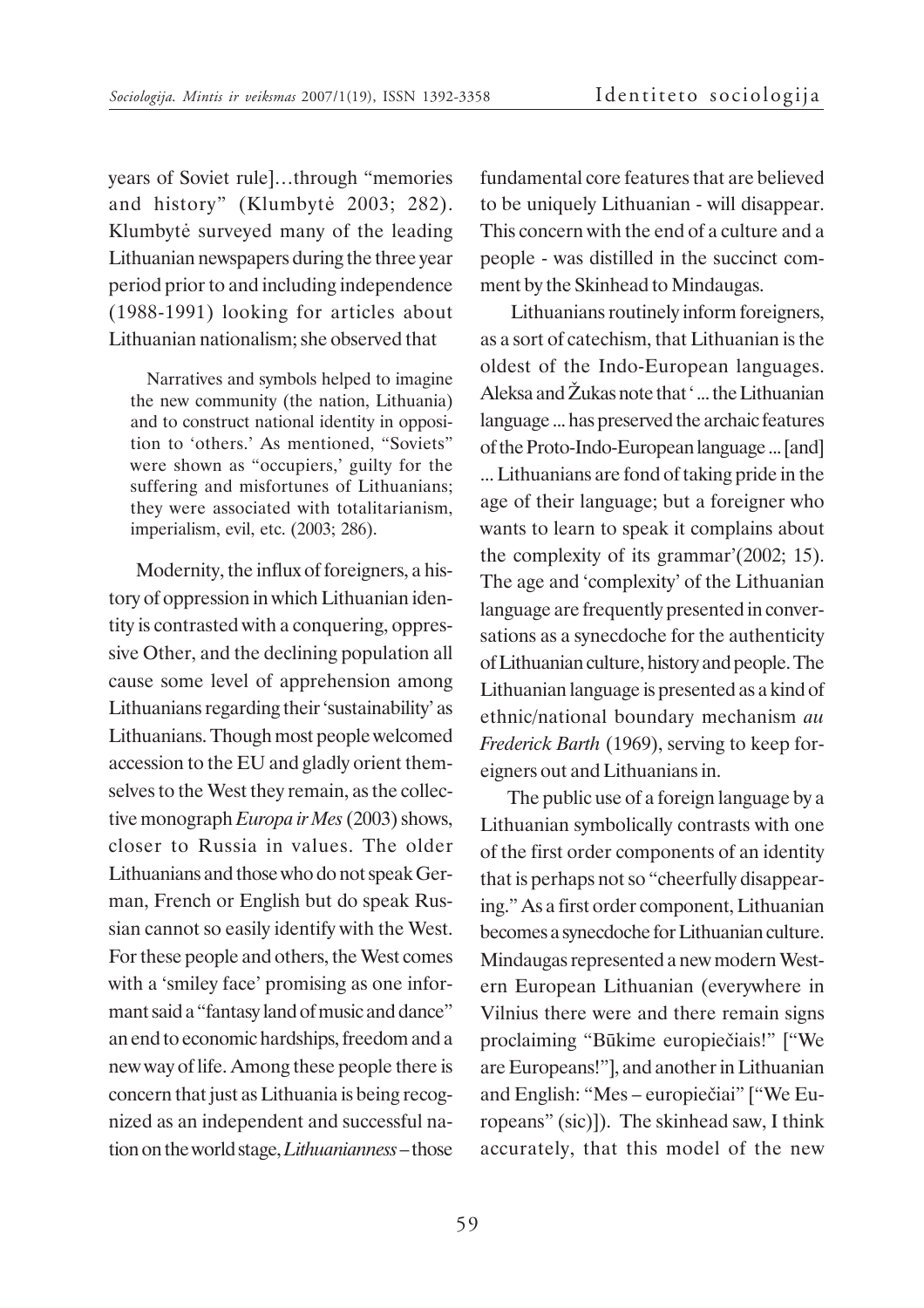years of Soviet rule]…through "memories and history" (Klumbytë 2003; 282). Klumbytë surveyed many of the leading Lithuanian newspapers during the three year period prior to and including independence (1988-1991) looking for articles about Lithuanian nationalism; she observed that

Narratives and symbols helped to imagine the new community (the nation, Lithuania) and to construct national identity in opposition to 'others.' As mentioned, "Soviets" were shown as "occupiers,' guilty for the suffering and misfortunes of Lithuanians; they were associated with totalitarianism, imperialism, evil, etc. (2003; 286).

Modernity, the influx of foreigners, a history of oppression in which Lithuanian identity is contrasted with a conquering, oppressive Other, and the declining population all cause some level of apprehension among Lithuanians regarding their 'sustainability' as Lithuanians. Though most people welcomed accession to the EU and gladly orient themselves to the West they remain, as the collective monograph *Europa ir Mes* (2003) shows, closer to Russia in values. The older Lithuanians and those who do not speak German, French or English but do speak Russian cannot so easily identify with the West. For these people and others, the West comes with a 'smiley face' promising as one informant said a "fantasy land of music and dance" an end to economic hardships, freedom and a new way of life. Among these people there is concern that just as Lithuania is being recognized as an independent and successful nation on the world stage, *Lithuanianness* – those fundamental core features that are believed to be uniquely Lithuanian - will disappear. This concern with the end of a culture and a people - was distilled in the succinct comment by the Skinhead to Mindaugas.

 Lithuanians routinely inform foreigners, as a sort of catechism, that Lithuanian is the oldest of the Indo-European languages. Aleksa and  $\check{Z}$ ukas note that '... the Lithuanian language ... has preserved the archaic features of the Proto-Indo-European language ... [and] ... Lithuanians are fond of taking pride in the age of their language; but a foreigner who wants to learn to speak it complains about the complexity of its grammar'(2002; 15). The age and 'complexity' of the Lithuanian language are frequently presented in conversations as a synecdoche for the authenticity of Lithuanian culture, history and people. The Lithuanian language is presented as a kind of ethnic/national boundary mechanism *au Frederick Barth* (1969), serving to keep foreigners out and Lithuanians in.

The public use of a foreign language by a Lithuanian symbolically contrasts with one of the first order components of an identity that is perhaps not so "cheerfully disappearing." As a first order component, Lithuanian becomes a synecdoche for Lithuanian culture. Mindaugas represented a new modern Western European Lithuanian (everywhere in Vilnius there were and there remain signs proclaiming "Būkime europiečiais!" ["We are Europeans!"], and another in Lithuanian and English: "Mes – europieèiai" ["We Europeans" (sic)]). The skinhead saw, I think accurately, that this model of the new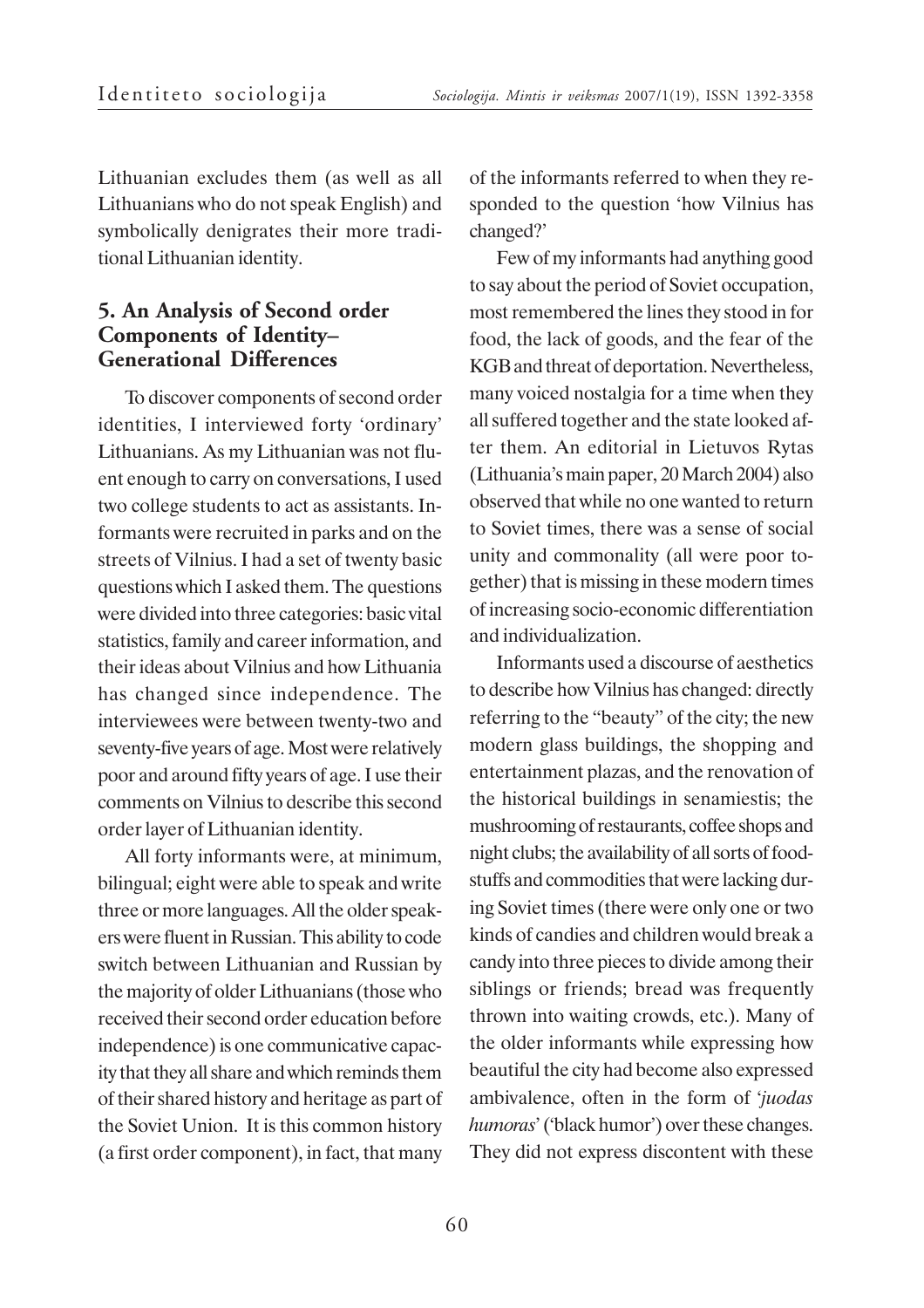Lithuanian excludes them (as well as all Lithuanians who do not speak English) and symbolically denigrates their more traditional Lithuanian identity.

### **5. An Analysis of Second order Components of Identity– Generational Differences**

To discover components of second order identities, I interviewed forty 'ordinary' Lithuanians. As my Lithuanian was not fluent enough to carry on conversations, I used two college students to act as assistants. Informants were recruited in parks and on the streets of Vilnius. I had a set of twenty basic questions which I asked them. The questions were divided into three categories: basic vital statistics, family and career information, and their ideas about Vilnius and how Lithuania has changed since independence. The interviewees were between twenty-two and seventy-five years of age. Most were relatively poor and around fifty years of age. I use their comments on Vilnius to describe this second order layer of Lithuanian identity.

All forty informants were, at minimum, bilingual; eight were able to speak and write three or more languages. All the older speakers were fluent in Russian. This ability to code switch between Lithuanian and Russian by the majority of older Lithuanians (those who received their second order education before independence) is one communicative capacity that they all share and which reminds them of their shared history and heritage as part of the Soviet Union. It is this common history (a first order component), in fact, that many

of the informants referred to when they responded to the question 'how Vilnius has changed?'

Few of my informants had anything good to say about the period of Soviet occupation, most remembered the lines they stood in for food, the lack of goods, and the fear of the KGB and threat of deportation. Nevertheless, many voiced nostalgia for a time when they all suffered together and the state looked after them. An editorial in Lietuvos Rytas (Lithuania's main paper, 20 March 2004) also observed that while no one wanted to return to Soviet times, there was a sense of social unity and commonality (all were poor together) that is missing in these modern times of increasing socio-economic differentiation and individualization.

Informants used a discourse of aesthetics to describe how Vilnius has changed: directly referring to the "beauty" of the city; the new modern glass buildings, the shopping and entertainment plazas, and the renovation of the historical buildings in senamiestis; the mushrooming of restaurants, coffee shops and night clubs; the availability of all sorts of foodstuffs and commodities that were lacking during Soviet times (there were only one or two kinds of candies and children would break a candy into three pieces to divide among their siblings or friends; bread was frequently thrown into waiting crowds, etc.). Many of the older informants while expressing how beautiful the city had become also expressed ambivalence, often in the form of '*juodas humoras*' ('black humor') over these changes. They did not express discontent with these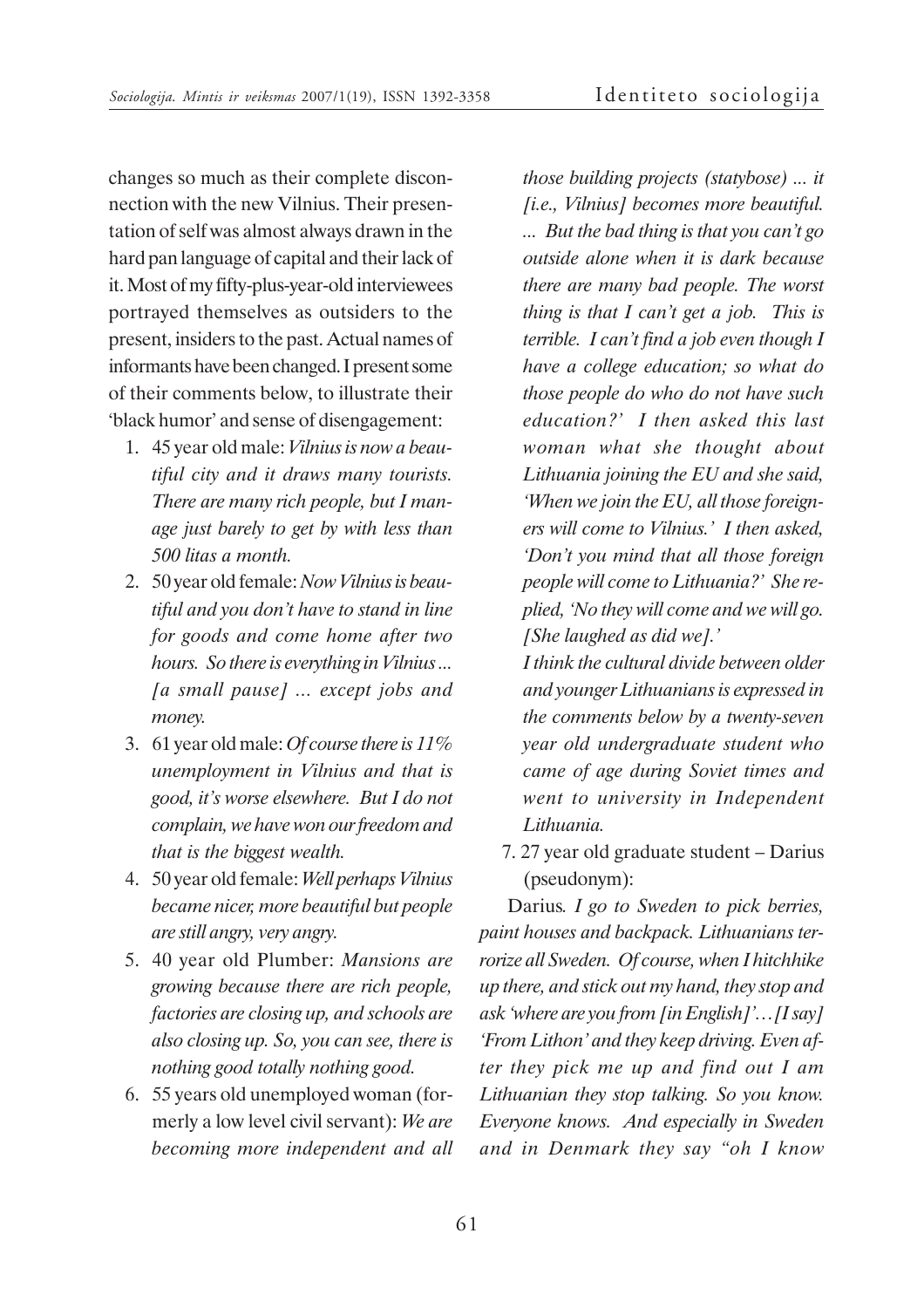changes so much as their complete disconnection with the new Vilnius. Their presentation of self was almost always drawn in the hard pan language of capital and their lack of it. Most of my fifty-plus-year-old interviewees portrayed themselves as outsiders to the present, insiders to the past. Actual names of informants have been changed. I present some of their comments below, to illustrate their 'black humor' and sense of disengagement:

- 1. 45 year old male: *Vilnius is now a beautiful city and it draws many tourists. There are many rich people, but I manage just barely to get by with less than 500 litas a month.*
- 2. 50 year old female: *Now Vilnius is beautiful and you don't have to stand in line for goods and come home after two hours. So there is everything in Vilnius ... [a small pause] ... except jobs and money.*
- 3. 61 year old male: *Of course there is 11% unemployment in Vilnius and that is good, it's worse elsewhere. But I do not complain, we have won our freedom and that is the biggest wealth.*
- 4. 50 year old female: *Well perhaps Vilnius became nicer, more beautiful but people are still angry, very angry.*
- 5. 40 year old Plumber: *Mansions are growing because there are rich people, factories are closing up, and schools are also closing up. So, you can see, there is nothing good totally nothing good.*
- 6. 55 years old unemployed woman (formerly a low level civil servant): *We are becoming more independent and all*

*those building projects (statybose) ... it [i.e., Vilnius] becomes more beautiful. ... But the bad thing is that you can't go outside alone when it is dark because there are many bad people. The worst thing is that I can't get a job. This is terrible. I can't find a job even though I have a college education; so what do those people do who do not have such education?' I then asked this last woman what she thought about Lithuania joining the EU and she said, 'When we join the EU, all those foreigners will come to Vilnius.' I then asked, 'Don't you mind that all those foreign people will come to Lithuania?' She replied, 'No they will come and we will go. [She laughed as did we].'*

*I think the cultural divide between older and younger Lithuanians is expressed in the comments below by a twenty-seven year old undergraduate student who came of age during Soviet times and went to university in Independent Lithuania.*

7. 27 year old graduate student – Darius (pseudonym):

Darius*. I go to Sweden to pick berries, paint houses and backpack. Lithuanians terrorize all Sweden. Of course, when I hitchhike up there, and stick out my hand, they stop and ask 'where are you from [in English]'…[I say] 'From Lithon' and they keep driving. Even after they pick me up and find out I am Lithuanian they stop talking. So you know. Everyone knows. And especially in Sweden and in Denmark they say "oh I know*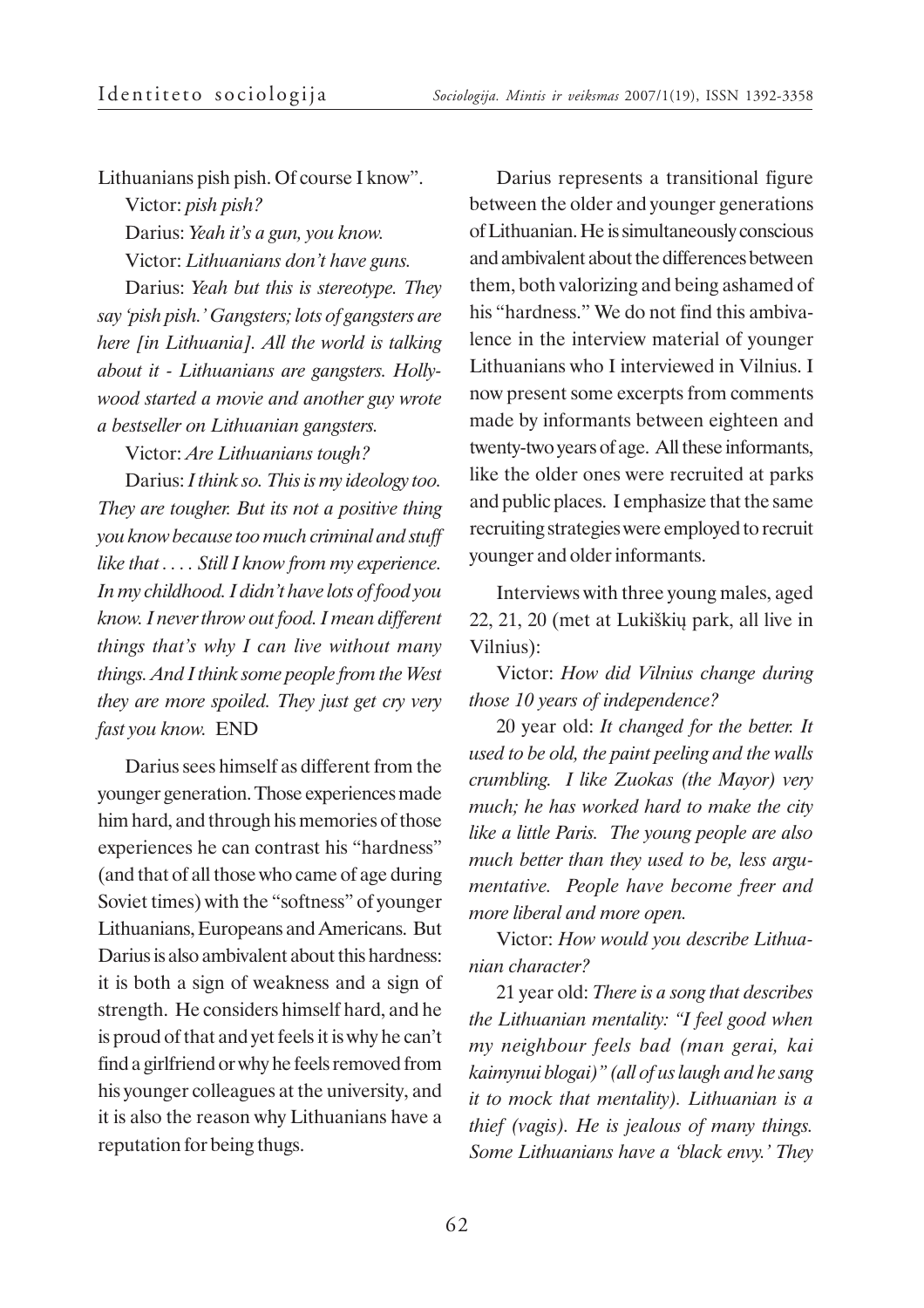Lithuanians pish pish. Of course I know".

Victor: *pish pish?*

Darius: *Yeah it's a gun, you know.*

Victor: *Lithuanians don't have guns.*

Darius: *Yeah but this is stereotype. They say 'pish pish.' Gangsters; lots of gangsters are here [in Lithuania]. All the world is talking about it - Lithuanians are gangsters. Hollywood started a movie and another guy wrote a bestseller on Lithuanian gangsters.*

Victor: *Are Lithuanians tough?*

Darius: *I think so. This is my ideology too. They are tougher. But its not a positive thing you know because too much criminal and stuff like that . . . . Still I know from my experience. In my childhood. I didn't have lots of food you know. I never throw out food. I mean different things that's why I can live without many things. And I think some people from the West they are more spoiled. They just get cry very fast you know.* END

Darius sees himself as different from the younger generation. Those experiences made him hard, and through his memories of those experiences he can contrast his "hardness" (and that of all those who came of age during Soviet times) with the "softness" of younger Lithuanians, Europeans and Americans. But Darius is also ambivalent about this hardness: it is both a sign of weakness and a sign of strength. He considers himself hard, and he is proud of that and yet feels it is why he can't find a girlfriend or why he feels removed from his younger colleagues at the university, and it is also the reason why Lithuanians have a reputation for being thugs.

Darius represents a transitional figure between the older and younger generations of Lithuanian. He is simultaneously conscious and ambivalent about the differences between them, both valorizing and being ashamed of his "hardness." We do not find this ambivalence in the interview material of younger Lithuanians who I interviewed in Vilnius. I now present some excerpts from comments made by informants between eighteen and twenty-two years of age. All these informants, like the older ones were recruited at parks and public places. I emphasize that the same recruiting strategies were employed to recruit younger and older informants.

Interviews with three young males, aged 22, 21, 20 (met at Lukiðkiø park, all live in Vilnius):

Victor: *How did Vilnius change during those 10 years of independence?*

20 year old: *It changed for the better. It used to be old, the paint peeling and the walls crumbling. I like Zuokas (the Mayor) very much; he has worked hard to make the city like a little Paris. The young people are also much better than they used to be, less argumentative. People have become freer and more liberal and more open.*

Victor: *How would you describe Lithuanian character?*

21 year old: *There is a song that describes the Lithuanian mentality: "I feel good when my neighbour feels bad (man gerai, kai kaimynui blogai)" (all of us laugh and he sang it to mock that mentality). Lithuanian is a thief (vagis). He is jealous of many things. Some Lithuanians have a 'black envy.' They*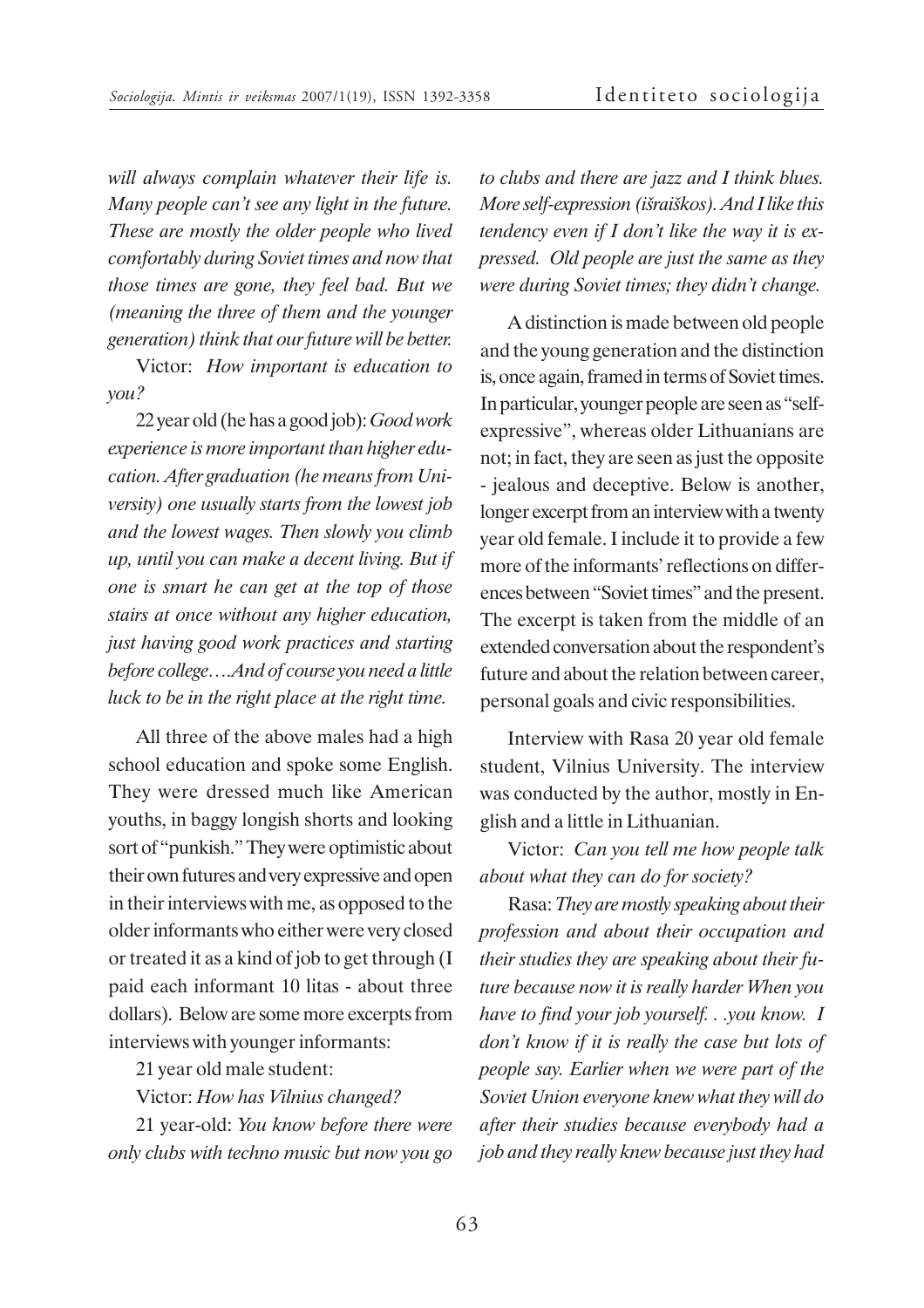*will always complain whatever their life is. Many people can't see any light in the future. These are mostly the older people who lived comfortably during Soviet times and now that those times are gone, they feel bad. But we (meaning the three of them and the younger generation) think that our future will be better.*

Victor: *How important is education to you?*

22 year old (he has a good job): *Good work experience is more important than higher education. After graduation (he means from University) one usually starts from the lowest job and the lowest wages. Then slowly you climb up, until you can make a decent living. But if one is smart he can get at the top of those stairs at once without any higher education, just having good work practices and starting before college….And of course you need a little luck to be in the right place at the right time.*

All three of the above males had a high school education and spoke some English. They were dressed much like American youths, in baggy longish shorts and looking sort of "punkish." They were optimistic about their own futures and very expressive and open in their interviews with me, as opposed to the older informants who either were very closed or treated it as a kind of job to get through (I paid each informant 10 litas - about three dollars). Below are some more excerpts from interviews with younger informants:

21 year old male student:

Victor: *How has Vilnius changed?*

21 year-old: *You know before there were only clubs with techno music but now you go* *to clubs and there are jazz and I think blues. More self-expression (iðraiðkos). And I like this tendency even if I don't like the way it is expressed. Old people are just the same as they were during Soviet times; they didn't change.*

A distinction is made between old people and the young generation and the distinction is, once again, framed in terms of Soviet times. In particular, younger people are seen as "selfexpressive", whereas older Lithuanians are not; in fact, they are seen as just the opposite - jealous and deceptive. Below is another, longer excerpt from an interview with a twenty year old female. I include it to provide a few more of the informants' reflections on differences between "Soviet times" and the present. The excerpt is taken from the middle of an extended conversation about the respondent's future and about the relation between career, personal goals and civic responsibilities.

Interview with Rasa 20 year old female student, Vilnius University. The interview was conducted by the author, mostly in English and a little in Lithuanian.

Victor: *Can you tell me how people talk about what they can do for society?*

Rasa: *They are mostly speaking about their profession and about their occupation and their studies they are speaking about their future because now it is really harder When you have to find your job yourself. . .you know. I don't know if it is really the case but lots of people say. Earlier when we were part of the Soviet Union everyone knew what they will do after their studies because everybody had a job and they really knew because just they had*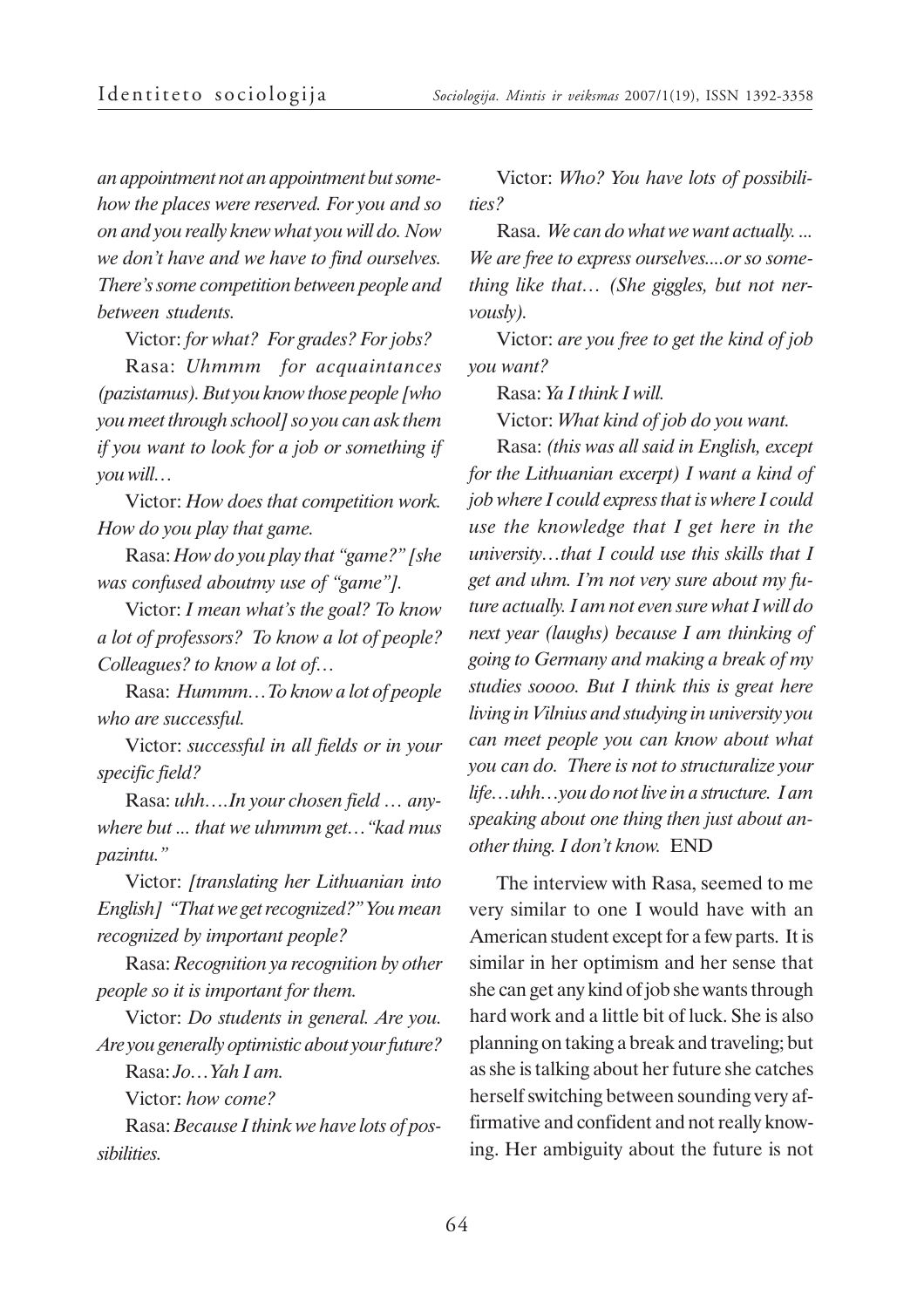*an appointment not an appointment but somehow the places were reserved. For you and so on and you really knew what you will do. Now we don't have and we have to find ourselves. There's some competition between people and between students.*

Victor: *for what? For grades? For jobs?*

Rasa: *Uhmmm for acquaintances (pazistamus). But you know those people [who you meet through school] so you can ask them if you want to look for a job or something if you will…*

Victor: *How does that competition work. How do you play that game.*

Rasa: *How do you play that "game?" [she was confused aboutmy use of "game"].*

Victor: *I mean what's the goal? To know a lot of professors? To know a lot of people? Colleagues? to know a lot of…*

Rasa: *Hummm…To know a lot of people who are successful.*

Victor: *successful in all fields or in your specific field?*

Rasa: *uhh….In your chosen field … anywhere but ... that we uhmmm get…"kad mus pazintu."*

Victor: *[translating her Lithuanian into English] "That we get recognized?" You mean recognized by important people?*

Rasa: *Recognition ya recognition by other people so it is important for them.*

Victor: *Do students in general. Are you. Are you generally optimistic about your future?*

Rasa: *Jo…Yah I am.* Victor: *how come?*

Rasa: *Because I think we have lots of possibilities.*

Victor: *Who? You have lots of possibilities?*

Rasa. *We can do what we want actually. ... We are free to express ourselves....or so something like that… (She giggles, but not nervously).*

Victor: *are you free to get the kind of job you want?*

Rasa: *Ya I think I will.*

Victor: *What kind of job do you want.*

Rasa: *(this was all said in English, except for the Lithuanian excerpt) I want a kind of job where I could express that is where I could use the knowledge that I get here in the university…that I could use this skills that I get and uhm. I'm not very sure about my future actually. I am not even sure what I will do next year (laughs) because I am thinking of going to Germany and making a break of my studies soooo. But I think this is great here living in Vilnius and studying in university you can meet people you can know about what you can do. There is not to structuralize your life…uhh…you do not live in a structure. I am speaking about one thing then just about another thing. I don't know.* END

The interview with Rasa, seemed to me very similar to one I would have with an American student except for a few parts. It is similar in her optimism and her sense that she can get any kind of job she wants through hard work and a little bit of luck. She is also planning on taking a break and traveling; but as she is talking about her future she catches herself switching between sounding very affirmative and confident and not really knowing. Her ambiguity about the future is not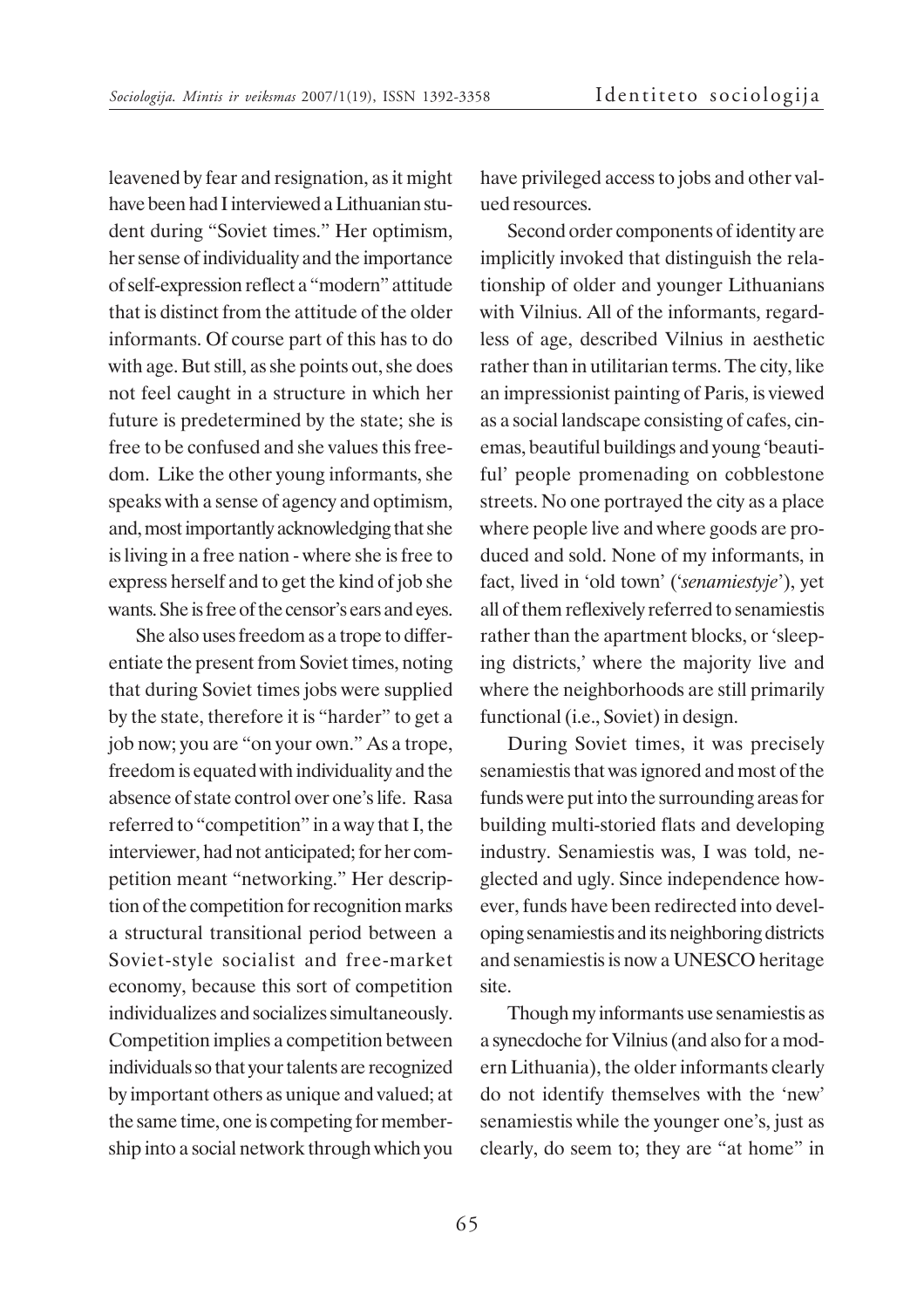leavened by fear and resignation, as it might have been had I interviewed a Lithuanian student during "Soviet times." Her optimism, her sense of individuality and the importance of self-expression reflect a "modern" attitude that is distinct from the attitude of the older informants. Of course part of this has to do with age. But still, as she points out, she does not feel caught in a structure in which her future is predetermined by the state; she is free to be confused and she values this freedom. Like the other young informants, she speaks with a sense of agency and optimism, and, most importantly acknowledging that she is living in a free nation - where she is free to express herself and to get the kind of job she wants. She is free of the censor's ears and eyes.

She also uses freedom as a trope to differentiate the present from Soviet times, noting that during Soviet times jobs were supplied by the state, therefore it is "harder" to get a job now; you are "on your own." As a trope, freedom is equated with individuality and the absence of state control over one's life. Rasa referred to "competition" in a way that I, the interviewer, had not anticipated; for her competition meant "networking." Her description of the competition for recognition marks a structural transitional period between a Soviet-style socialist and free-market economy, because this sort of competition individualizes and socializes simultaneously. Competition implies a competition between individuals so that your talents are recognized by important others as unique and valued; at the same time, one is competing for membership into a social network through which you have privileged access to jobs and other valued resources.

Second order components of identity are implicitly invoked that distinguish the relationship of older and younger Lithuanians with Vilnius. All of the informants, regardless of age, described Vilnius in aesthetic rather than in utilitarian terms. The city, like an impressionist painting of Paris, is viewed as a social landscape consisting of cafes, cinemas, beautiful buildings and young 'beautiful' people promenading on cobblestone streets. No one portrayed the city as a place where people live and where goods are produced and sold. None of my informants, in fact, lived in 'old town' ('*senamiestyje*'), yet all of them reflexively referred to senamiestis rather than the apartment blocks, or 'sleeping districts,' where the majority live and where the neighborhoods are still primarily functional (i.e., Soviet) in design.

During Soviet times, it was precisely senamiestis that was ignored and most of the funds were put into the surrounding areas for building multi-storied flats and developing industry. Senamiestis was, I was told, neglected and ugly. Since independence however, funds have been redirected into developing senamiestis and its neighboring districts and senamiestis is now a UNESCO heritage site.

Though my informants use senamiestis as a synecdoche for Vilnius (and also for a modern Lithuania), the older informants clearly do not identify themselves with the 'new' senamiestis while the younger one's, just as clearly, do seem to; they are "at home" in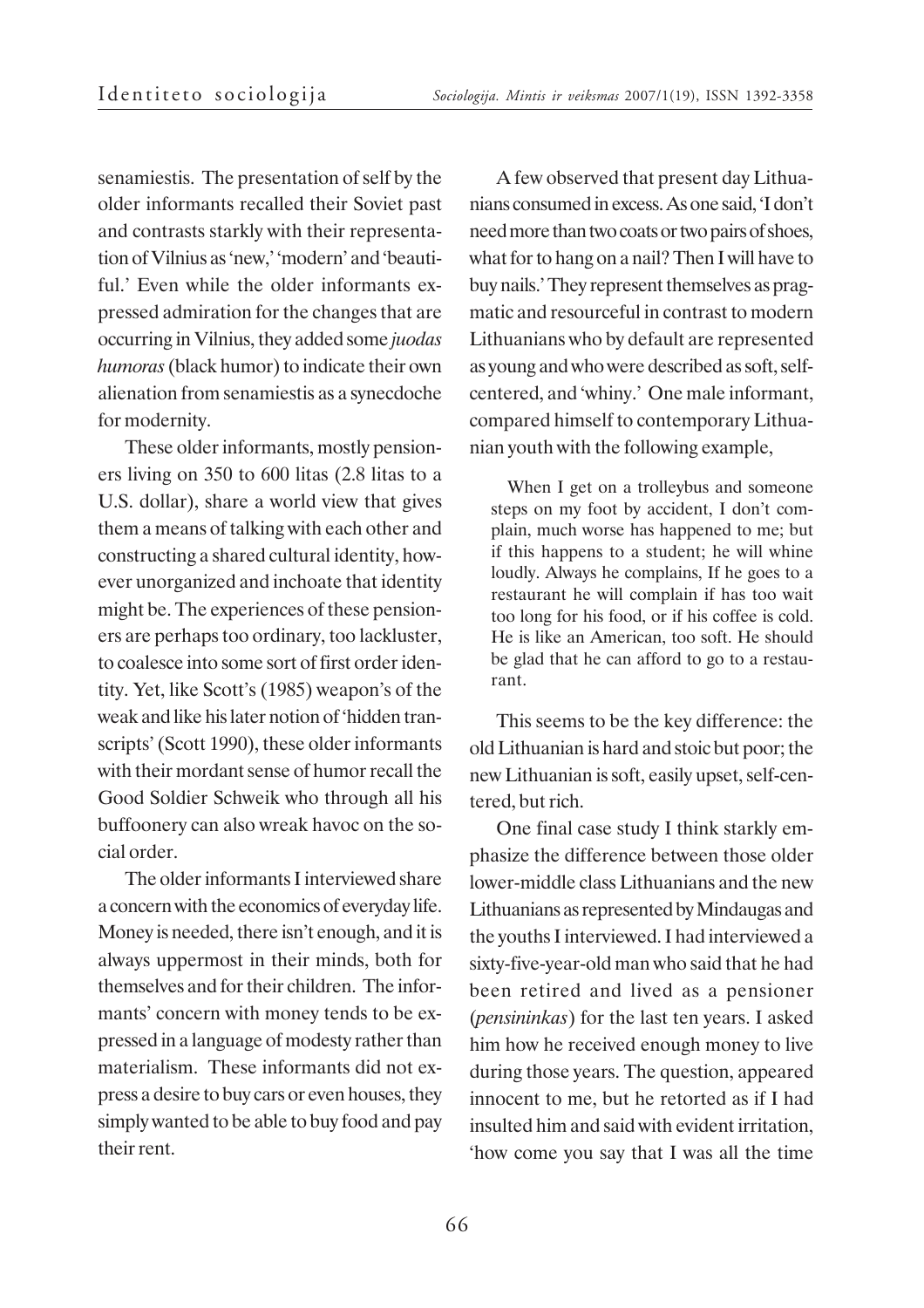senamiestis. The presentation of self by the older informants recalled their Soviet past and contrasts starkly with their representation of Vilnius as 'new,' 'modern' and 'beautiful.' Even while the older informants expressed admiration for the changes that are occurring in Vilnius, they added some *juodas humoras* (black humor) to indicate their own alienation from senamiestis as a synecdoche for modernity.

These older informants, mostly pensioners living on 350 to 600 litas (2.8 litas to a U.S. dollar), share a world view that gives them a means of talking with each other and constructing a shared cultural identity, however unorganized and inchoate that identity might be. The experiences of these pensioners are perhaps too ordinary, too lackluster, to coalesce into some sort of first order identity. Yet, like Scott's (1985) weapon's of the weak and like his later notion of 'hidden transcripts' (Scott 1990), these older informants with their mordant sense of humor recall the Good Soldier Schweik who through all his buffoonery can also wreak havoc on the social order.

The older informants I interviewed share a concern with the economics of everyday life. Money is needed, there isn't enough, and it is always uppermost in their minds, both for themselves and for their children. The informants' concern with money tends to be expressed in a language of modesty rather than materialism. These informants did not express a desire to buy cars or even houses, they simply wanted to be able to buy food and pay their rent.

A few observed that present day Lithuanians consumed in excess. As one said, 'I don't need more than two coats or two pairs of shoes, what for to hang on a nail? Then I will have to buy nails.' They represent themselves as pragmatic and resourceful in contrast to modern Lithuanians who by default are represented as young and who were described as soft, selfcentered, and 'whiny.' One male informant, compared himself to contemporary Lithuanian youth with the following example,

When I get on a trolleybus and someone steps on my foot by accident, I don't complain, much worse has happened to me; but if this happens to a student; he will whine loudly. Always he complains, If he goes to a restaurant he will complain if has too wait too long for his food, or if his coffee is cold. He is like an American, too soft. He should be glad that he can afford to go to a restaurant.

This seems to be the key difference: the old Lithuanian is hard and stoic but poor; the new Lithuanian is soft, easily upset, self-centered, but rich.

One final case study I think starkly emphasize the difference between those older lower-middle class Lithuanians and the new Lithuanians as represented by Mindaugas and the youths I interviewed. I had interviewed a sixty-five-year-old man who said that he had been retired and lived as a pensioner (*pensininkas*) for the last ten years. I asked him how he received enough money to live during those years. The question, appeared innocent to me, but he retorted as if I had insulted him and said with evident irritation, 'how come you say that I was all the time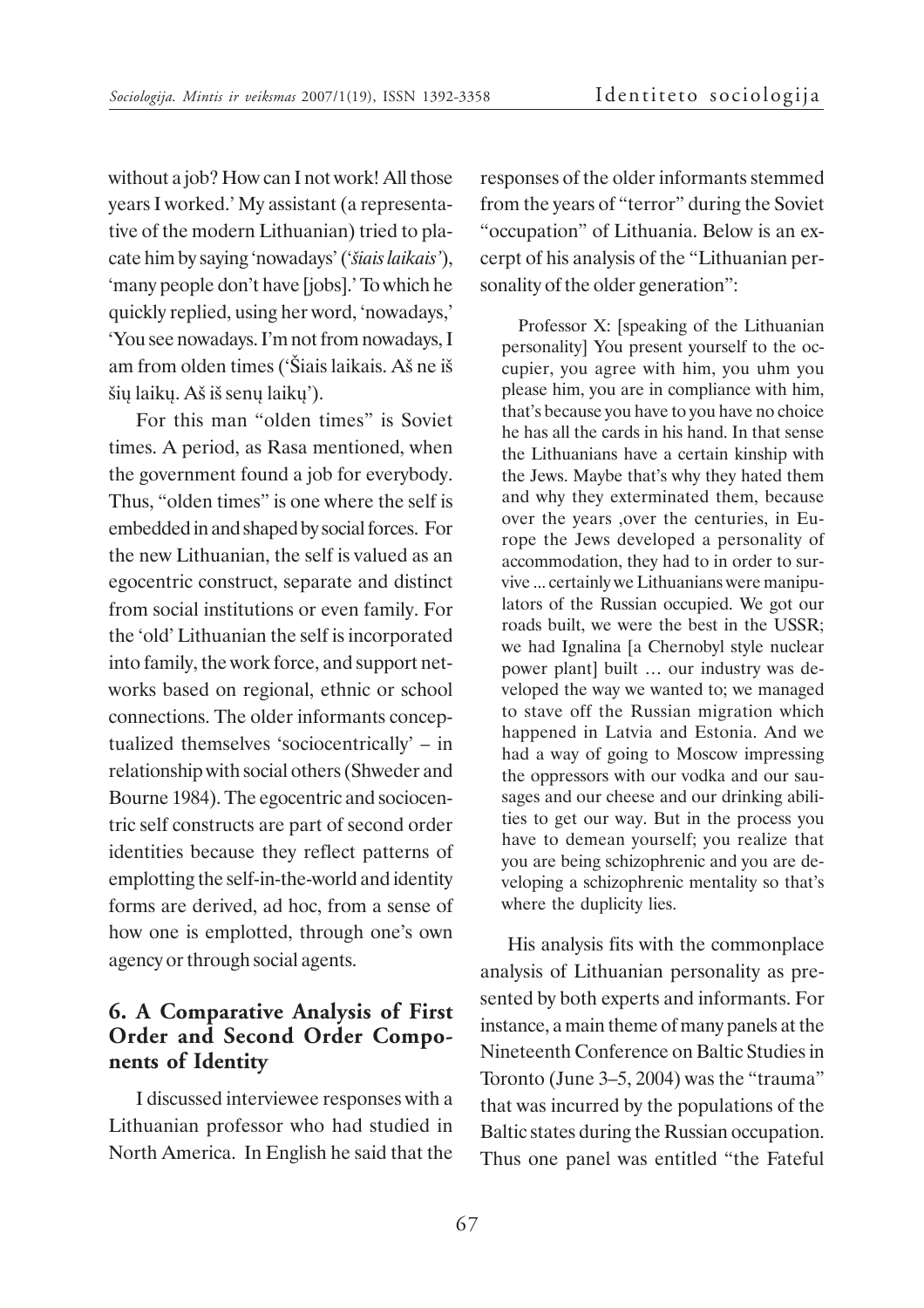without a job? How can I not work! All those years I worked.' My assistant (a representative of the modern Lithuanian) tried to placate him by saying 'nowadays' ('*ðiais laikais'*), 'many people don't have [jobs].' To which he quickly replied, using her word, 'nowadays,' 'You see nowadays. I'm not from nowadays, I am from olden times ('Ðiais laikais. Að ne ið ðiø laikø. Að ið senø laikø').

For this man "olden times" is Soviet times. A period, as Rasa mentioned, when the government found a job for everybody. Thus, "olden times" is one where the self is embedded in and shaped by social forces. For the new Lithuanian, the self is valued as an egocentric construct, separate and distinct from social institutions or even family. For the 'old' Lithuanian the self is incorporated into family, the work force, and support networks based on regional, ethnic or school connections. The older informants conceptualized themselves 'sociocentrically' – in relationship with social others (Shweder and Bourne 1984). The egocentric and sociocentric self constructs are part of second order identities because they reflect patterns of emplotting the self-in-the-world and identity forms are derived, ad hoc, from a sense of how one is emplotted, through one's own agency or through social agents.

# **6. A Comparative Analysis of First Order and Second Order Components of Identity**

I discussed interviewee responses with a Lithuanian professor who had studied in North America. In English he said that the

responses of the older informants stemmed from the years of "terror" during the Soviet "occupation" of Lithuania. Below is an excerpt of his analysis of the "Lithuanian personality of the older generation":

Professor X: [speaking of the Lithuanian personality] You present yourself to the occupier, you agree with him, you uhm you please him, you are in compliance with him, that's because you have to you have no choice he has all the cards in his hand. In that sense the Lithuanians have a certain kinship with the Jews. Maybe that's why they hated them and why they exterminated them, because over the years ,over the centuries, in Europe the Jews developed a personality of accommodation, they had to in order to survive ... certainly we Lithuanians were manipulators of the Russian occupied. We got our roads built, we were the best in the USSR; we had Ignalina [a Chernobyl style nuclear power plant] built … our industry was developed the way we wanted to; we managed to stave off the Russian migration which happened in Latvia and Estonia. And we had a way of going to Moscow impressing the oppressors with our vodka and our sausages and our cheese and our drinking abilities to get our way. But in the process you have to demean yourself; you realize that you are being schizophrenic and you are developing a schizophrenic mentality so that's where the duplicity lies.

His analysis fits with the commonplace analysis of Lithuanian personality as presented by both experts and informants. For instance, a main theme of many panels at the Nineteenth Conference on Baltic Studies in Toronto (June 3–5, 2004) was the "trauma" that was incurred by the populations of the Baltic states during the Russian occupation. Thus one panel was entitled "the Fateful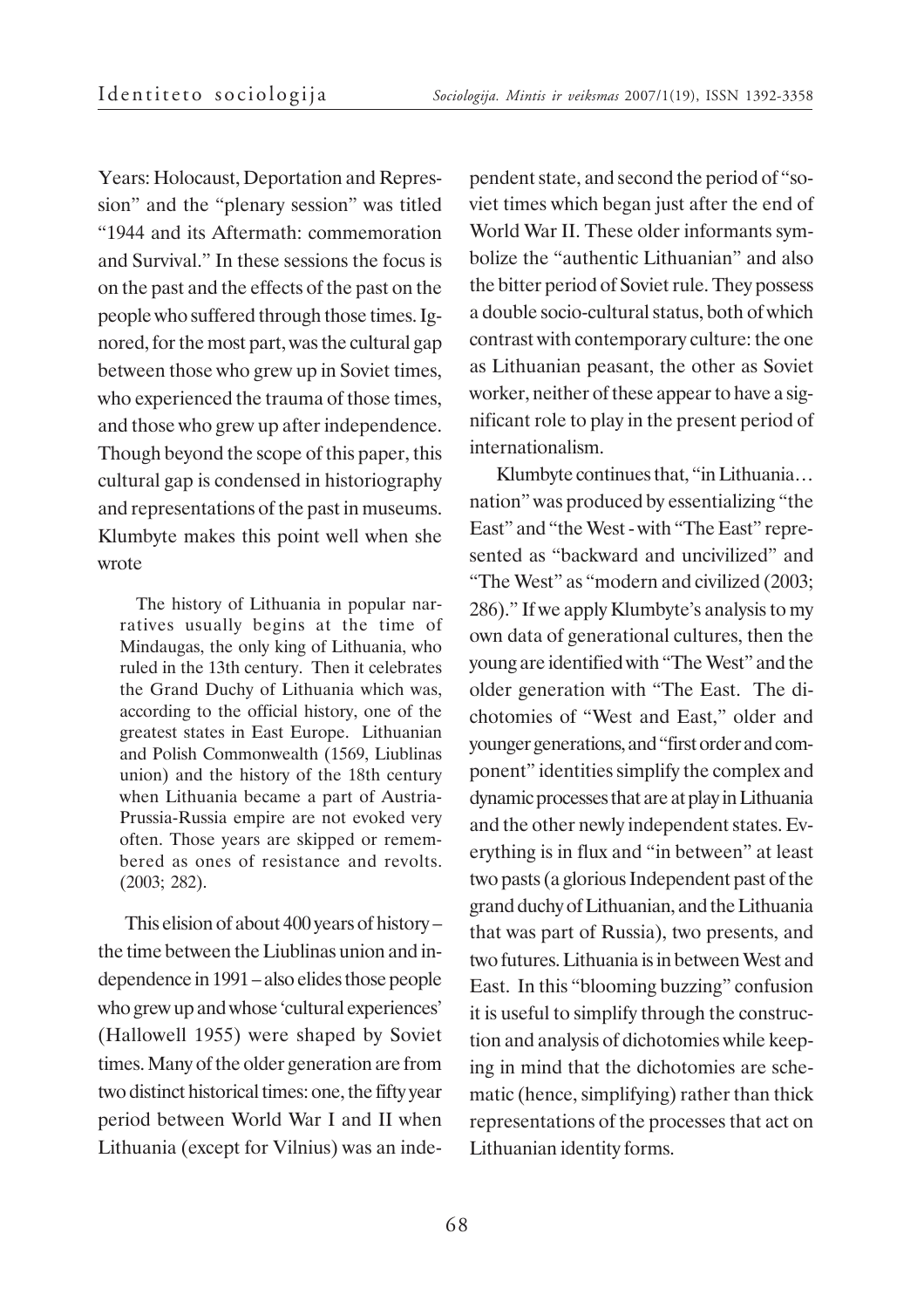Years: Holocaust, Deportation and Repression" and the "plenary session" was titled "1944 and its Aftermath: commemoration and Survival." In these sessions the focus is on the past and the effects of the past on the people who suffered through those times. Ignored, for the most part, was the cultural gap between those who grew up in Soviet times, who experienced the trauma of those times, and those who grew up after independence. Though beyond the scope of this paper, this cultural gap is condensed in historiography and representations of the past in museums. Klumbyte makes this point well when she wrote

The history of Lithuania in popular narratives usually begins at the time of Mindaugas, the only king of Lithuania, who ruled in the 13th century. Then it celebrates the Grand Duchy of Lithuania which was, according to the official history, one of the greatest states in East Europe. Lithuanian and Polish Commonwealth (1569, Liublinas union) and the history of the 18th century when Lithuania became a part of Austria-Prussia-Russia empire are not evoked very often. Those years are skipped or remembered as ones of resistance and revolts. (2003; 282).

This elision of about 400 years of history – the time between the Liublinas union and independence in 1991 – also elides those people who grew up and whose 'cultural experiences' (Hallowell 1955) were shaped by Soviet times. Many of the older generation are from two distinct historical times: one, the fifty year period between World War I and II when Lithuania (except for Vilnius) was an inde-

pendent state, and second the period of "soviet times which began just after the end of World War II. These older informants symbolize the "authentic Lithuanian" and also the bitter period of Soviet rule. They possess a double socio-cultural status, both of which contrast with contemporary culture: the one as Lithuanian peasant, the other as Soviet worker, neither of these appear to have a significant role to play in the present period of internationalism.

Klumbyte continues that, "in Lithuania… nation" was produced by essentializing "the East" and "the West - with "The East" represented as "backward and uncivilized" and "The West" as "modern and civilized (2003; 286)." If we apply Klumbyte's analysis to my own data of generational cultures, then the young are identified with "The West" and the older generation with "The East. The dichotomies of "West and East," older and younger generations, and "first order and component" identities simplify the complex and dynamic processes that are at play in Lithuania and the other newly independent states. Everything is in flux and "in between" at least two pasts (a glorious Independent past of the grand duchy of Lithuanian, and the Lithuania that was part of Russia), two presents, and two futures. Lithuania is in between West and East. In this "blooming buzzing" confusion it is useful to simplify through the construction and analysis of dichotomies while keeping in mind that the dichotomies are schematic (hence, simplifying) rather than thick representations of the processes that act on Lithuanian identity forms.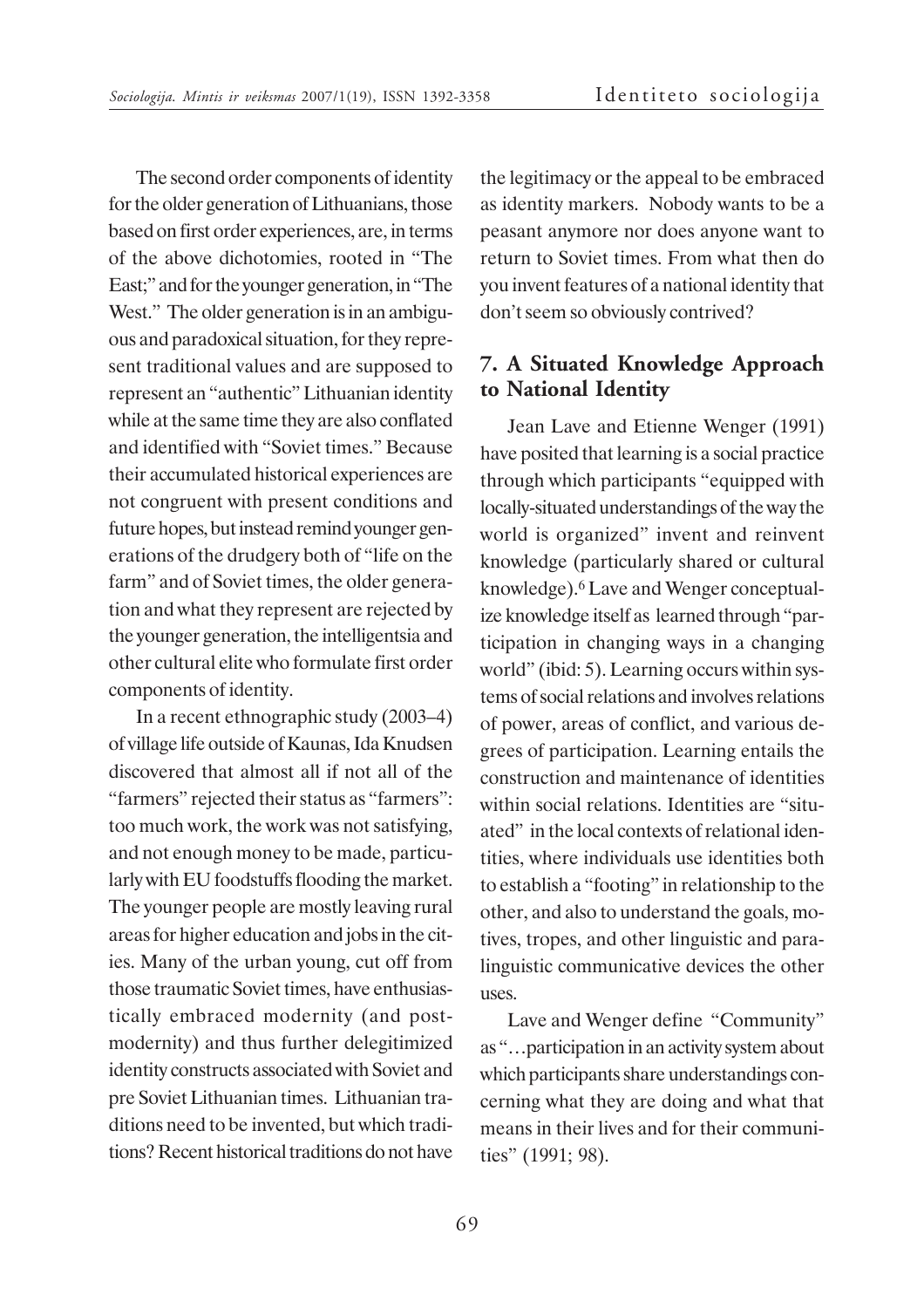The second order components of identity for the older generation of Lithuanians, those based on first order experiences, are, in terms of the above dichotomies, rooted in "The East;" and for the younger generation, in "The West." The older generation is in an ambiguous and paradoxical situation, for they represent traditional values and are supposed to represent an "authentic" Lithuanian identity while at the same time they are also conflated and identified with "Soviet times." Because their accumulated historical experiences are not congruent with present conditions and future hopes, but instead remind younger generations of the drudgery both of "life on the farm" and of Soviet times, the older generation and what they represent are rejected by the younger generation, the intelligentsia and other cultural elite who formulate first order components of identity.

In a recent ethnographic study (2003–4) of village life outside of Kaunas, Ida Knudsen discovered that almost all if not all of the "farmers" rejected their status as "farmers": too much work, the work was not satisfying, and not enough money to be made, particularly with EU foodstuffs flooding the market. The younger people are mostly leaving rural areas for higher education and jobs in the cities. Many of the urban young, cut off from those traumatic Soviet times, have enthusiastically embraced modernity (and postmodernity) and thus further delegitimized identity constructs associated with Soviet and pre Soviet Lithuanian times. Lithuanian traditions need to be invented, but which traditions? Recent historical traditions do not have

the legitimacy or the appeal to be embraced as identity markers. Nobody wants to be a peasant anymore nor does anyone want to return to Soviet times. From what then do you invent features of a national identity that don't seem so obviously contrived?

### **7. A Situated Knowledge Approach to National Identity**

Jean Lave and Etienne Wenger (1991) have posited that learning is a social practice through which participants "equipped with locally-situated understandings of the way the world is organized" invent and reinvent knowledge (particularly shared or cultural knowledge).<sup>6</sup> Lave and Wenger conceptualize knowledge itself as learned through "participation in changing ways in a changing world" (ibid: 5). Learning occurs within systems of social relations and involves relations of power, areas of conflict, and various degrees of participation. Learning entails the construction and maintenance of identities within social relations. Identities are "situated" in the local contexts of relational identities, where individuals use identities both to establish a "footing" in relationship to the other, and also to understand the goals, motives, tropes, and other linguistic and paralinguistic communicative devices the other uses.

Lave and Wenger define "Community" as "…participation in an activity system about which participants share understandings concerning what they are doing and what that means in their lives and for their communities" (1991; 98).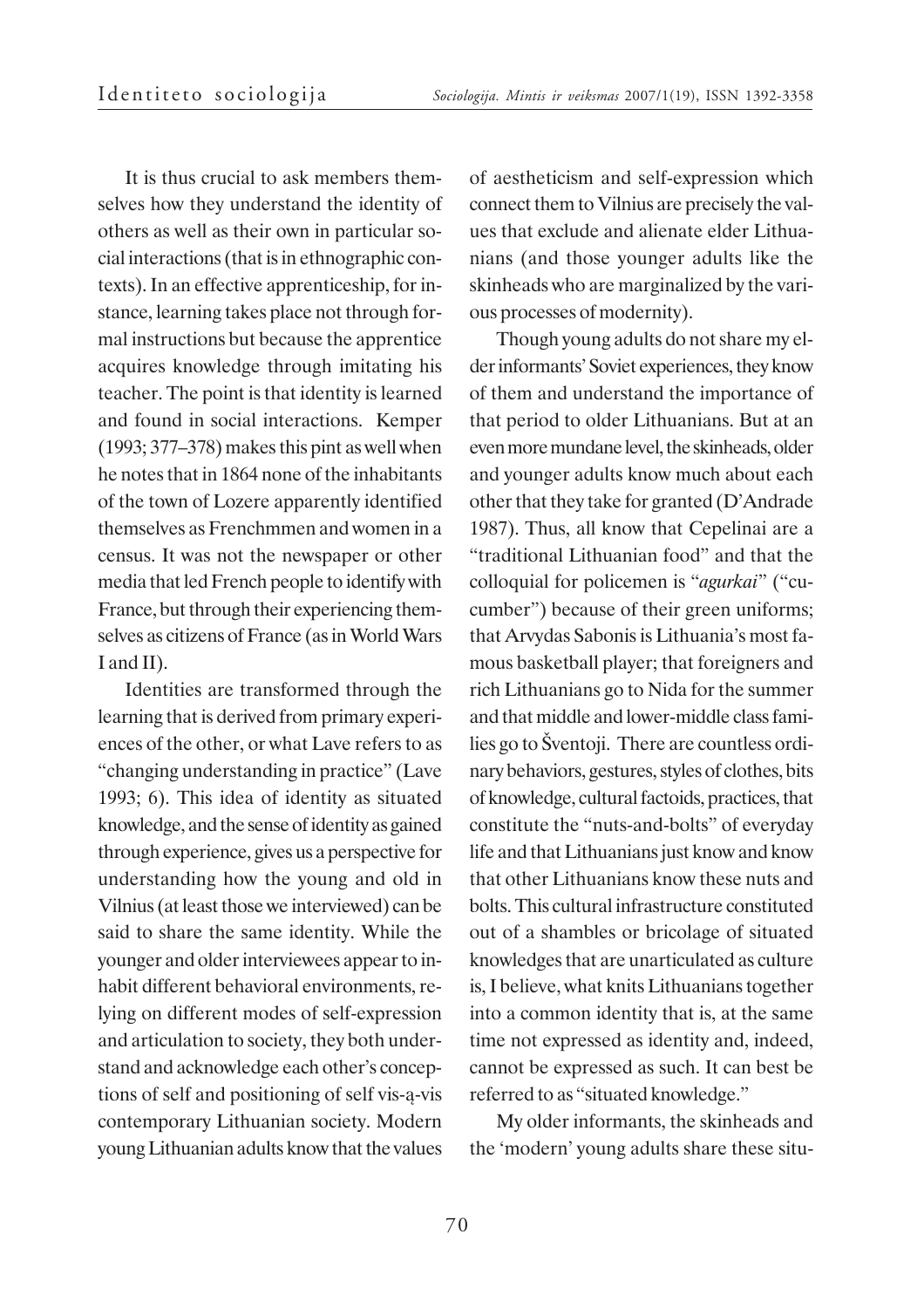It is thus crucial to ask members themselves how they understand the identity of others as well as their own in particular social interactions (that is in ethnographic contexts). In an effective apprenticeship, for instance, learning takes place not through formal instructions but because the apprentice acquires knowledge through imitating his teacher. The point is that identity is learned and found in social interactions. Kemper (1993; 377–378) makes this pint as well when he notes that in 1864 none of the inhabitants of the town of Lozere apparently identified themselves as Frenchmmen and women in a census. It was not the newspaper or other media that led French people to identify with France, but through their experiencing themselves as citizens of France (as in World Wars I and II).

Identities are transformed through the learning that is derived from primary experiences of the other, or what Lave refers to as "changing understanding in practice" (Lave 1993; 6). This idea of identity as situated knowledge, and the sense of identity as gained through experience, gives us a perspective for understanding how the young and old in Vilnius (at least those we interviewed) can be said to share the same identity. While the younger and older interviewees appear to inhabit different behavioral environments, relying on different modes of self-expression and articulation to society, they both understand and acknowledge each other's conceptions of self and positioning of self vis-à-vis contemporary Lithuanian society. Modern young Lithuanian adults know that the values

of aestheticism and self-expression which connect them to Vilnius are precisely the values that exclude and alienate elder Lithuanians (and those younger adults like the skinheads who are marginalized by the various processes of modernity).

Though young adults do not share my elder informants' Soviet experiences, they know of them and understand the importance of that period to older Lithuanians. But at an even more mundane level, the skinheads, older and younger adults know much about each other that they take for granted (D'Andrade 1987). Thus, all know that Cepelinai are a "traditional Lithuanian food" and that the colloquial for policemen is "*agurkai*" ("cucumber") because of their green uniforms; that Arvydas Sabonis is Lithuania's most famous basketball player; that foreigners and rich Lithuanians go to Nida for the summer and that middle and lower-middle class families go to Šventoji. There are countless ordinary behaviors, gestures, styles of clothes, bits of knowledge, cultural factoids, practices, that constitute the "nuts-and-bolts" of everyday life and that Lithuanians just know and know that other Lithuanians know these nuts and bolts. This cultural infrastructure constituted out of a shambles or bricolage of situated knowledges that are unarticulated as culture is, I believe, what knits Lithuanians together into a common identity that is, at the same time not expressed as identity and, indeed, cannot be expressed as such. It can best be referred to as "situated knowledge."

My older informants, the skinheads and the 'modern' young adults share these situ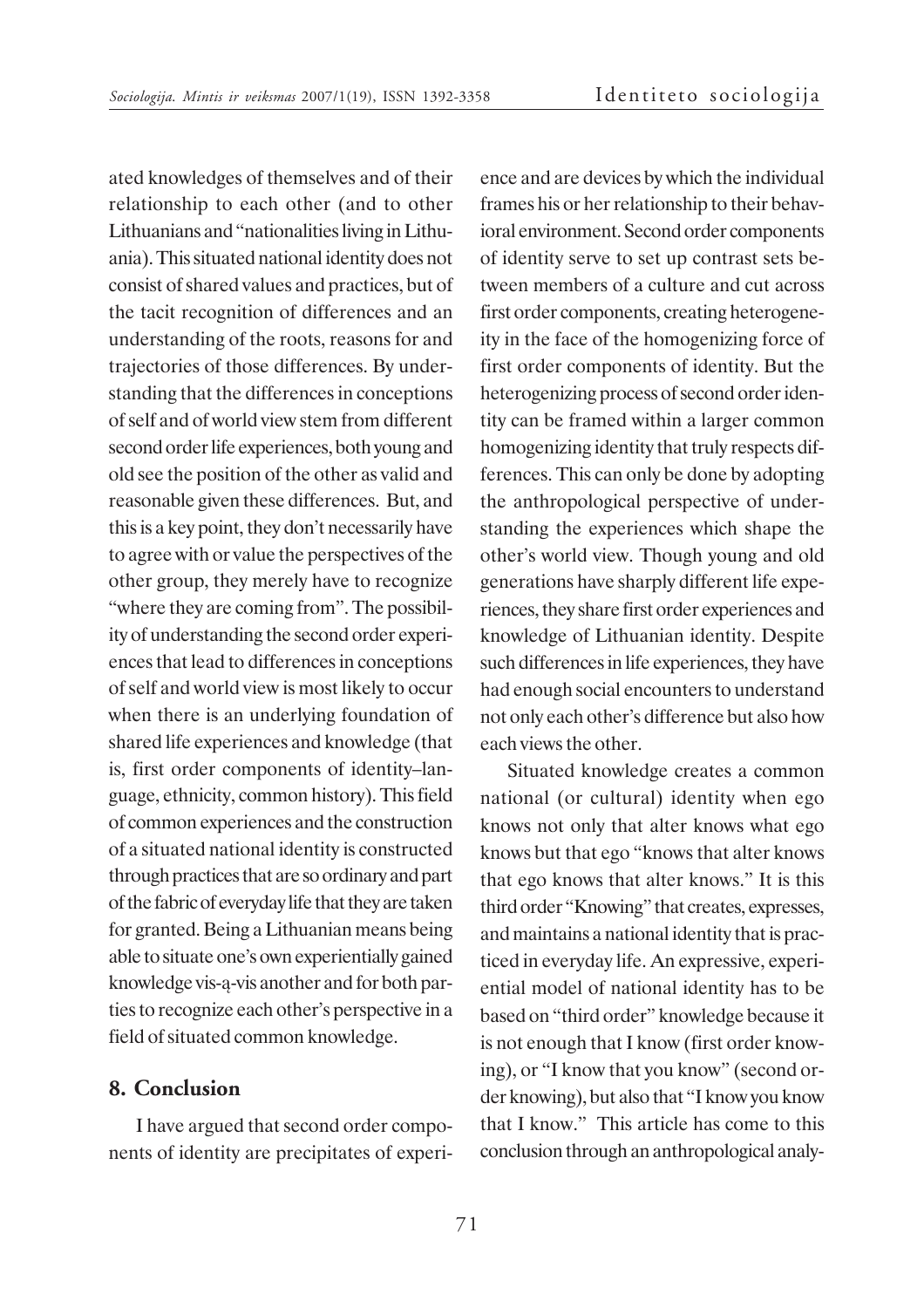ated knowledges of themselves and of their relationship to each other (and to other Lithuanians and "nationalities living in Lithuania). This situated national identity does not consist of shared values and practices, but of the tacit recognition of differences and an understanding of the roots, reasons for and trajectories of those differences. By understanding that the differences in conceptions of self and of world view stem from different second order life experiences, both young and old see the position of the other as valid and reasonable given these differences. But, and this is a key point, they don't necessarily have to agree with or value the perspectives of the other group, they merely have to recognize "where they are coming from". The possibility of understanding the second order experiences that lead to differences in conceptions of self and world view is most likely to occur when there is an underlying foundation of shared life experiences and knowledge (that is, first order components of identity–language, ethnicity, common history). This field of common experiences and the construction of a situated national identity is constructed through practices that are so ordinary and part of the fabric of everyday life that they are taken for granted. Being a Lithuanian means being able to situate one's own experientially gained knowledge vis-à-vis another and for both parties to recognize each other's perspective in a field of situated common knowledge.

#### **8. Conclusion**

I have argued that second order components of identity are precipitates of experi-

ence and are devices by which the individual frames his or her relationship to their behavioral environment. Second order components of identity serve to set up contrast sets between members of a culture and cut across first order components, creating heterogeneity in the face of the homogenizing force of first order components of identity. But the heterogenizing process of second order identity can be framed within a larger common homogenizing identity that truly respects differences. This can only be done by adopting the anthropological perspective of understanding the experiences which shape the other's world view. Though young and old generations have sharply different life experiences, they share first order experiences and knowledge of Lithuanian identity. Despite such differences in life experiences, they have had enough social encounters to understand not only each other's difference but also how each views the other.

Situated knowledge creates a common national (or cultural) identity when ego knows not only that alter knows what ego knows but that ego "knows that alter knows that ego knows that alter knows." It is this third order "Knowing" that creates, expresses, and maintains a national identity that is practiced in everyday life. An expressive, experiential model of national identity has to be based on "third order" knowledge because it is not enough that I know (first order knowing), or "I know that you know" (second order knowing), but also that "I know you know that I know." This article has come to this conclusion through an anthropological analy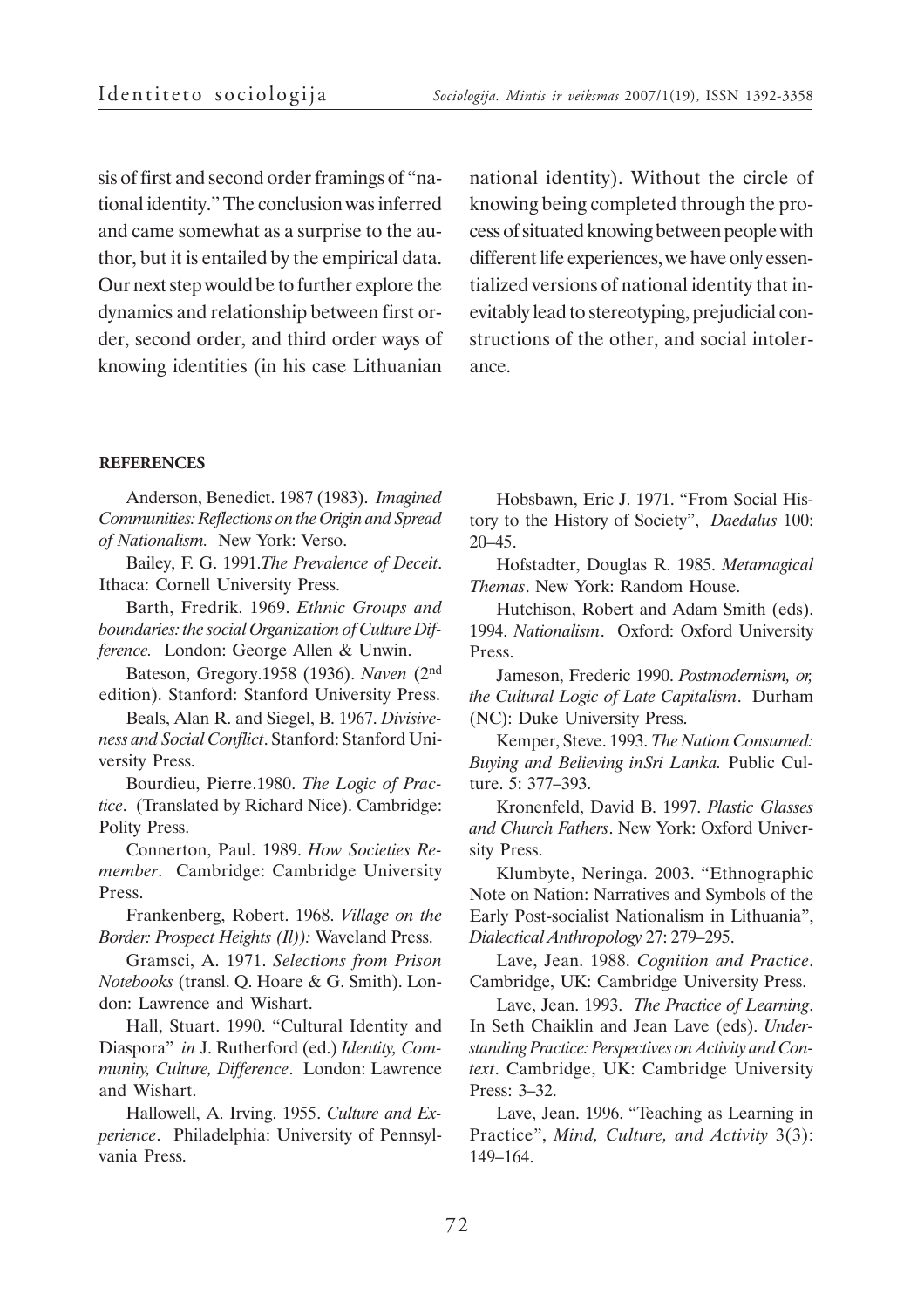sis of first and second order framings of "national identity." The conclusion was inferred and came somewhat as a surprise to the author, but it is entailed by the empirical data. Our next step would be to further explore the dynamics and relationship between first order, second order, and third order ways of knowing identities (in his case Lithuanian national identity). Without the circle of knowing being completed through the process of situated knowing between people with different life experiences, we have only essentialized versions of national identity that inevitably lead to stereotyping, prejudicial constructions of the other, and social intolerance.

#### **REFERENCES**

Anderson, Benedict. 1987 (1983). *Imagined Communities: Reflections on the Origin and Spread of Nationalism.* New York: Verso.

Bailey, F. G. 1991.*The Prevalence of Deceit*. Ithaca: Cornell University Press.

Barth, Fredrik. 1969. *Ethnic Groups and boundaries: the social Organization of Culture Difference.* London: George Allen & Unwin.

Bateson, Gregory.1958 (1936). *Naven* (2nd edition). Stanford: Stanford University Press.

Beals, Alan R. and Siegel, B. 1967. *Divisiveness and Social Conflict*. Stanford: Stanford University Press.

Bourdieu, Pierre.1980. *The Logic of Practice*. (Translated by Richard Nice). Cambridge: Polity Press.

Connerton, Paul. 1989. *How Societies Remember*. Cambridge: Cambridge University Press.

Frankenberg, Robert. 1968. *Village on the Border: Prospect Heights (Il)):* Waveland Press.

Gramsci, A. 1971. *Selections from Prison Notebooks* (transl. Q. Hoare & G. Smith). London: Lawrence and Wishart.

Hall, Stuart. 1990. "Cultural Identity and Diaspora" *in* J. Rutherford (ed.) *Identity, Community, Culture, Difference*. London: Lawrence and Wishart.

Hallowell, A. Irving. 1955. *Culture and Experience*. Philadelphia: University of Pennsylvania Press.

Hobsbawn, Eric J. 1971. "From Social History to the History of Society", *Daedalus* 100: 20–45.

Hofstadter, Douglas R. 1985. *Metamagical Themas*. New York: Random House.

Hutchison, Robert and Adam Smith (eds). 1994. *Nationalism*. Oxford: Oxford University Press.

Jameson, Frederic 1990. *Postmodernism, or, the Cultural Logic of Late Capitalism*. Durham (NC): Duke University Press.

Kemper, Steve. 1993. *The Nation Consumed: Buying and Believing inSri Lanka.* Public Culture. 5: 377–393.

Kronenfeld, David B. 1997. *Plastic Glasses and Church Fathers*. New York: Oxford University Press.

Klumbyte, Neringa. 2003. "Ethnographic Note on Nation: Narratives and Symbols of the Early Post-socialist Nationalism in Lithuania", *Dialectical Anthropology* 27: 279–295.

Lave, Jean. 1988. *Cognition and Practice*. Cambridge, UK: Cambridge University Press.

Lave, Jean. 1993. *The Practice of Learning*. In Seth Chaiklin and Jean Lave (eds). *Understanding Practice: Perspectives on Activity and Context*. Cambridge, UK: Cambridge University Press: 3–32.

Lave, Jean. 1996. "Teaching as Learning in Practice", *Mind, Culture, and Activity* 3(3): 149–164.